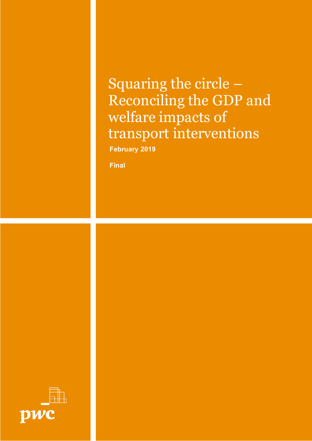Squaring the circle – Reconciling the GDP and welfare impacts of transport interventions **February 2019**

**Final**

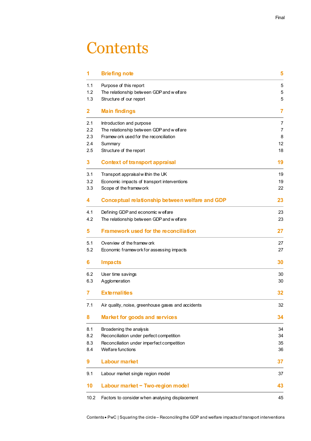## **Contents**

| 1    | <b>Briefing note</b>                               | 5              |
|------|----------------------------------------------------|----------------|
| 1.1  | Purpose of this report                             | 5              |
| 1.2  | The relationship between GDP and w elfare          | 5              |
| 1.3  | Structure of our report                            | 5              |
| 2.   | <b>Main findings</b>                               | 7              |
| 2.1  | Introduction and purpose                           | $\overline{7}$ |
| 2.2  | The relationship between GDP and w elfare          | $\overline{7}$ |
| 2.3  | Framew ork used for the reconciliation             | 8              |
| 2.4  | Summary                                            | 12             |
| 2.5  | Structure of the report                            | 18             |
| 3.   | <b>Context of transport appraisal</b>              | 19             |
| 3.1  | Transport appraisal within the UK                  | 19             |
| 3.2  | Economic impacts of transport interventions        | 19             |
| 3.3  | Scope of the framework                             | 22             |
| 4    | Conceptual relationship between welfare and GDP    | 23             |
| 4.1  | Defining GDP and economic w elfare                 | 23             |
| 4.2  | The relationship between GDP and w elfare          | 23             |
| 5.   | <b>Framework used for the reconciliation</b>       | 27             |
| 5.1  | Overview of the framew ork                         | 27             |
| 5.2  | Economic framework for assessing impacts           | 27             |
| 6    | <b>Impacts</b>                                     | 30             |
| 6.2  | User time savings                                  | 30             |
| 6.3  | Agglomeration                                      | 30             |
| 7    | <b>Externalities</b>                               | 32             |
| 7.1  | Air quality, noise, greenhouse gases and accidents | 32             |
| 8    | Market for goods and services                      | 34             |
| 8.1  | Broadening the analysis                            | 34             |
| 8.2  | Reconciliation under perfect competition           | 34             |
| 8.3  | Reconciliation under imperfect competition         | 35             |
| 8.4  | Welfare functions                                  | 36             |
| 9    | <b>Labour market</b>                               | 37             |
| 9.1  | Labour market single region model                  | 37             |
| 10   | Labour market - Two-region model                   | 43             |
| 10.2 | Factors to consider when analysing displacement    | 45             |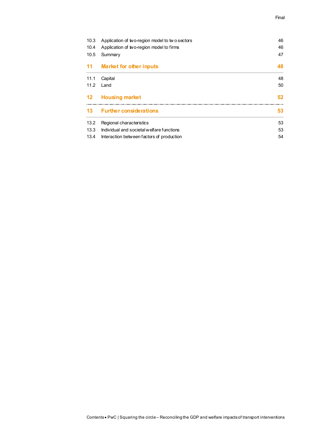#### Final

| 10.3    | Application of two-region model to two sectors |    |  |
|---------|------------------------------------------------|----|--|
| 10.4    | Application of two-region model to firms       | 46 |  |
| 10.5    | Summary                                        | 47 |  |
| 11      | <b>Market for other inputs</b>                 | 48 |  |
| 11.1    | Capital                                        | 48 |  |
| 11.2    | Land                                           | 50 |  |
| $12 \,$ | <b>Housing market</b>                          | 52 |  |
| 13      | <b>Further considerations</b>                  | 53 |  |
| 13.2    | Regional characteristics                       | 53 |  |
|         |                                                |    |  |
| 13.3    | Individual and societal welfare functions      | 53 |  |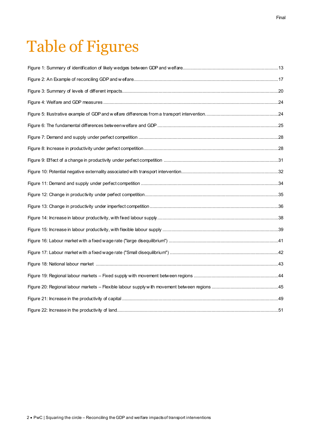# Table of Figures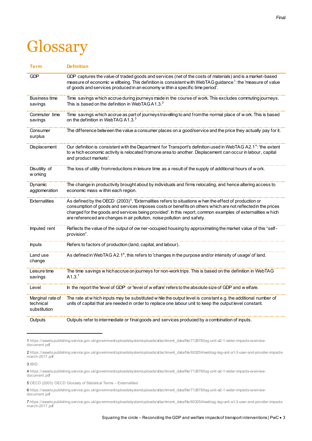# **Glossary**

| Term                                          | <b>Definition</b>                                                                                                                                                                                                                                                                                                                                                                                                            |
|-----------------------------------------------|------------------------------------------------------------------------------------------------------------------------------------------------------------------------------------------------------------------------------------------------------------------------------------------------------------------------------------------------------------------------------------------------------------------------------|
| <b>GDP</b>                                    | GDP captures the value of traded goods and services (net of the costs of materials) and is a market-based<br>measure of economic w ellbeing. This definition is consistent with WebTAG guidance <sup>1</sup> : the 'measure of value<br>of goods and services produced in an economy w ithin a specific time period'.                                                                                                        |
| Business time<br>savings                      | Time savings which accrue during journeys made in the course of work. This excludes commuting journeys.<br>This is based on the definition in WebTAGA1.3. <sup>2</sup>                                                                                                                                                                                                                                                       |
| Commuter time<br>savings                      | Time savings which accrue as part of journeys travelling to and from the normal place of work. This is based<br>on the definition in WebTAG A1.3.3                                                                                                                                                                                                                                                                           |
| Consumer<br>surplus                           | The difference between the value a consumer places on a good/service and the price they actually pay for it.                                                                                                                                                                                                                                                                                                                 |
| <b>Displacement</b>                           | Our definition is consistent with the Department for Transport's definition used in WebTAG A2.1 <sup>4</sup> : 'the extent<br>to w hich economic activity is relocated fromone area to another. Displacement can occur in labour, capital<br>and product markets'.                                                                                                                                                           |
| Disutility of<br>w orking                     | The loss of utility from reductions in leisure time as a result of the supply of additional hours of w ork.                                                                                                                                                                                                                                                                                                                  |
| Dynamic<br>agglomeration                      | The change in productivity brought about by individuals and firms relocating, and hence altering access to<br>economic mass w ithin each region.                                                                                                                                                                                                                                                                             |
| <b>Externalities</b>                          | As defined by the OECD (2003) <sup>5</sup> , 'Externalities refers to situations w hen the effect of production or<br>consumption of goods and services imposes costs or benefits on others which are not reflected in the prices<br>charged for the goods and services being provided'. In this report, common examples of externalities w hich<br>are referenced are changes in air pollution, noise pollution and safety. |
| Imputed rent                                  | Reflects the value of the output of ow ner-occupied housing by approximating the market value of this "self-<br>provision".                                                                                                                                                                                                                                                                                                  |
| <b>Inputs</b>                                 | Refers to factors of production (land, capital, and labour).                                                                                                                                                                                                                                                                                                                                                                 |
| Land use<br>change                            | As defined in WebTAG A2.1 <sup>6</sup> , this refers to 'changes in the purpose and/or intensity of usage' of land.                                                                                                                                                                                                                                                                                                          |
| Leisure time<br>savings                       | The time savings w hich accrue on journeys for non-work trips. This is based on the definition in WebTAG<br>A1.3. <sup>7</sup>                                                                                                                                                                                                                                                                                               |
| Level                                         | In the report the 'level of GDP' or 'level of w elfare' refers to the absolute size of GDP and w elfare.                                                                                                                                                                                                                                                                                                                     |
| Marginal rate of<br>technical<br>substitution | The rate at w hich inputs may be substituted w hile the output level is constant e.g. the additional number of<br>units of capital that are needed in order to replace one labour unit to keep the output level constant.                                                                                                                                                                                                    |
| Outputs                                       | Outputs refer to intermediate or final goods and services produced by a combination of inputs.                                                                                                                                                                                                                                                                                                                               |

1 [https://assets.publishing.service.gov.uk/government/uploads/system/uploads/attachment\\_data/file/712878/tag-unit-a2-1-wider-impacts-overview](https://assets.publishing.service.gov.uk/government/uploads/system/uploads/attachment_data/file/712878/tag-unit-a2-1-wider-impacts-overview-document.pdf)[document.pdf](https://assets.publishing.service.gov.uk/government/uploads/system/uploads/attachment_data/file/712878/tag-unit-a2-1-wider-impacts-overview-document.pdf)

2 [https://assets.publishing.service.gov.uk/government/uploads/system/uploads/attachment\\_data/file/603254/webtag-tag-unit-a1-3-user-and-provider-impacts](https://assets.publishing.service.gov.uk/government/uploads/system/uploads/attachment_data/file/603254/webtag-tag-unit-a1-3-user-and-provider-impacts-march-2017.pdf)[march-2017.pdf](https://assets.publishing.service.gov.uk/government/uploads/system/uploads/attachment_data/file/603254/webtag-tag-unit-a1-3-user-and-provider-impacts-march-2017.pdf)

3 IBID.

-

4 [https://assets.publishing.service.gov.uk/government/uploads/system/uploads/attachment\\_data/file/712878/tag-unit-a2-1-wider-impacts-overview](https://assets.publishing.service.gov.uk/government/uploads/system/uploads/attachment_data/file/712878/tag-unit-a2-1-wider-impacts-overview-document.pdf)[document.pdf](https://assets.publishing.service.gov.uk/government/uploads/system/uploads/attachment_data/file/712878/tag-unit-a2-1-wider-impacts-overview-document.pdf)

5 OECD (2003) 'OECD Glossary of Statistical Terms – Externalities'

6 [https://assets.publishing.service.gov.uk/government/uploads/system/uploads/attachment\\_data/file/712878/tag-unit-a2-1-wider-impacts-overview](https://assets.publishing.service.gov.uk/government/uploads/system/uploads/attachment_data/file/712878/tag-unit-a2-1-wider-impacts-overview-document.pdf)[document.pdf](https://assets.publishing.service.gov.uk/government/uploads/system/uploads/attachment_data/file/712878/tag-unit-a2-1-wider-impacts-overview-document.pdf)

7 [https://assets.publishing.service.gov.uk/government/uploads/system/uploads/attachment\\_data/file/603254/webtag-tag-unit-a1-3-user-and-provider-impacts](https://assets.publishing.service.gov.uk/government/uploads/system/uploads/attachment_data/file/603254/webtag-tag-unit-a1-3-user-and-provider-impacts-march-2017.pdf)[march-2017.pdf](https://assets.publishing.service.gov.uk/government/uploads/system/uploads/attachment_data/file/603254/webtag-tag-unit-a1-3-user-and-provider-impacts-march-2017.pdf)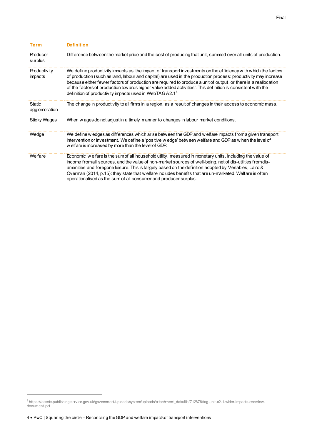| Term                    | <b>Definition</b>                                                                                                                                                                                                                                                                                                                                                                                                                                                                                                                          |
|-------------------------|--------------------------------------------------------------------------------------------------------------------------------------------------------------------------------------------------------------------------------------------------------------------------------------------------------------------------------------------------------------------------------------------------------------------------------------------------------------------------------------------------------------------------------------------|
| Producer<br>surplus     | Difference between the market price and the cost of producing that unit, summed over all units of production.                                                                                                                                                                                                                                                                                                                                                                                                                              |
| Productivity<br>impacts | We define productivity impacts as 'the impact of transport investments on the efficiency with which the factors<br>of production (such as land, labour and capital) are used in the production process: productivity may increase<br>because either fewer factors of production are required to produce a unit of output, or there is a reallocation<br>of the factors of production tow ards higher value added activities'. This definition is consistent with the<br>definition of productivity impacts used in WebTAGA2.1 <sup>8</sup> |
| Static<br>agglomeration | The change in productivity to all firms in a region, as a result of changes in their access to economic mass.                                                                                                                                                                                                                                                                                                                                                                                                                              |
| <b>Sticky Wages</b>     | When w ages do not adjust in a timely manner to changes in labour market conditions.                                                                                                                                                                                                                                                                                                                                                                                                                                                       |
| Wedge                   | We define w edges as differences which arise between the GDP and w elfare impacts from a given transport<br>intervention or investment. We define a 'positive w edge' between welfare and GDP as w hen the level of<br>w elfare is increased by more than the level of GDP.                                                                                                                                                                                                                                                                |
| Welfare                 | Economic w elfare is the sumof all household utility, measured in monetary units, including the value of<br>income fromall sources, and the value of non-market sources of well-being, net of dis-utilities from dis-<br>amenities and foregone leisure. This is largely based on the definition adopted by Venables, Laird &<br>Overman (2014, p.15): they state that w elfare includes benefits that are un-marketed. Welfare is often<br>operationalised as the sum of all consumer and producer surplus.                               |

<sup>8</sup> [https://assets.publishing.service.gov.uk/government/uploads/system/uploads/attachment\\_data/file/712878/tag-unit-a2-1-wider-impacts-overview](https://assets.publishing.service.gov.uk/government/uploads/system/uploads/attachment_data/file/712878/tag-unit-a2-1-wider-impacts-overview-document.pdf)[document.pdf](https://assets.publishing.service.gov.uk/government/uploads/system/uploads/attachment_data/file/712878/tag-unit-a2-1-wider-impacts-overview-document.pdf)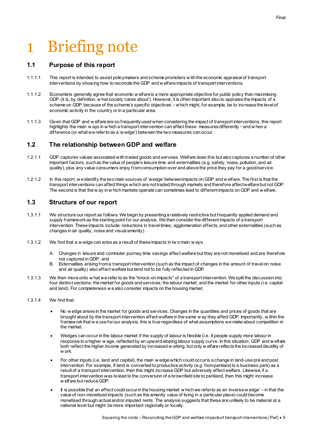# <span id="page-6-0"></span>1 Briefing note

### <span id="page-6-1"></span>**1.1 Purpose of this report**

- 1.1.1.1 This report is intended to assist policymakers and scheme promoters w ith the economic appraisal of transport interventions by showing how to reconcile the GDP and w elfare impacts of transport interventions.
- 1.1.1.2 Economists generally agree that economic w elfare is a more appropriate objective for public policy than maximising GDP (it is, by definition, w hat society 'cares about'). However, it is often important also to appraise the impacts of a scheme on GDP because of the scheme's specific objectives − which might, for example, be to increase the level of economic activity in the country or in a particular area.
- 1.1.1.3 Given that GDP and w elfare are so frequently used when considering the impact of transport interventions, this report highlights the main w ays in w hich a transport intervention can affect these measures differently − and w hen a difference (or what we refer to as a 'w edge') between the two measures can occur.

## <span id="page-6-2"></span>**1.2 The relationship between GDP and welfare**

- 1.2.1.1 GDP captures values associated with traded goods and services. Welfare does this but also captures a number of other important factors, such as the value of people's leisure time and externalities (e.g. safety, noise, pollution, and air quality), plus any value consumers enjoy from consumption over and above the price they pay for a good/service.
- 1.2.1.2 In this report, w e identify the two main sources of 'wedge' between impacts on GDP and w elfare. The first is that the transport interventions can affect things which are not traded through markets and therefore affect welfare but not GDP. The second is that the w ay in w hich markets operate can sometimes lead to different impacts on GDP and w elfare.

## <span id="page-6-3"></span>**1.3 Structure of our report**

- 1.3.1.1 We structure our report as follows. We begin by presenting a relatively restrictive but frequently applied demand and supply framework as the starting point for our analysis. We then consider the different impacts of a transport intervention. These impacts include: reductions in travel times; agglomeration effects; and other externalities (such as changes in air quality, noise and visual amenity).
- 1.3.1.2 We find that a w edge can arise as a result of these impacts in tw o main w ays:
	- A. Changes in leisure and commuter journey time savings affect welfare but they are not monetised and are therefore not captured in GDP; and
	- B. Externalities arising from a transport intervention (such as the impact of changes in the amount of travel on noise and air quality) also affect welfare but tend not to be fully reflected in GDP.
- 1.3.1.3 We then move onto w hat we refer to as the "knock-on impacts" of a transport intervention. We split the discussion into four distinct sections: the market for goods and services; the labour market; and the market for other inputs (i.e. capital and land). For completeness w e also consider impacts on the housing market.

#### 1.3.1.4 We find that:

- No w edge arises in the market for goods and services. Changes in the quantities and prices of goods that are brought about by the transport intervention affect welfare in the same w ay they affect GDP. Importantly, w ithin the framew ork that w e use for our analysis, this is true regardless of what assumptions we make about competition in the market.
- Wedges can occur in the labour market if the supply of labour is flexible (i.e. if people supply more labour in response to a higher w age, reflected by an upward-sloping labour supply curve. In this situation, GDP and w elfare both reflect the higher income generated by increased w orking, but only w elfare reflects the increased disutility of w ork.
- For other inputs (i.e. land and capital), the main w edge which could occur is a change in land-use pre and post intervention. For example, if land is converted to productive activity (e.g. from parkland to a business park) as a result of a transport intervention, then this might increase GDP but adversely affect welfare. Likewise, if a transport intervention was to lead to the conversion of a brownfield site to parkland, then this might increase w elfare but reduce GDP.
- It is possible that an effect could occur in the housing market w hich we refer to as an 'inverse w edge' in that the value of non-monetised impacts (such as the amenity value of living in a particular place) could become monetised through actual and/or imputed rents. The analysis suggests that these are unlikely to be material at a national level but might be more important regionally or locally.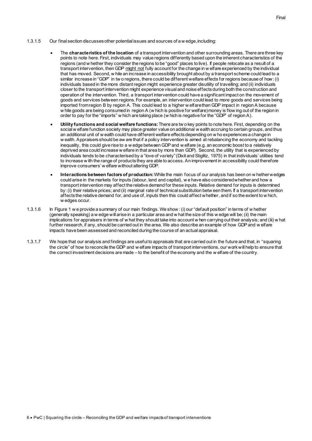- 1.3.1.5 Our final section discusses other potential issues and sources of a w edge, including:
	- The **characteristics of the location** of a transport intervention and other surrounding areas. There are three key points to note here. First, individuals may value regions differently based upon the inherent characteristics of the regions (and w hether they consider the regions to be "good" places to live). If people relocate as a result of a transport intervention, then GDP <u>might not</u> fully account for the change in w elfare experienced by the individual that has moved. Second, w hile an increase in accessibility brought about by a transport scheme could lead to a similar increase in "GDP" in tw o regions, there could be different welfare effects for regions because of how: (i) individuals based in the more distant region might experience greater disutility of travelling; and (ii) individuals closer to the transport intervention might experience visual and noise effects during both the construction and operation of the intervention. Third, a transport intervention could have a significant impact on the movement of goods and services between regions. For example, an intervention could lead to more goods and services being imported from region B by region A. This could lead to a higher w elfare than GDP impact in region A because w hile goods are being consumed in region A (w hich is positive for welfare) money is flow ing out of the region in order to pay for the "imports" w hich are taking place (w hich is negative for the "GDP" of region A).
	- **Utility functions and social welfare functions:**There are tw o key points to note here. First, depending on the social w elfare function society may place greater value on additional w ealth accruing to certain groups, and thus an additional unit of w ealth could have different welfare effects depending on w ho experiences a change in w ealth. Appraisers should be aw are that if a policy intervention is aimed at rebalancing the economy and tackling inequality, this could give rise to a w edge between GDP and w elfare (e.g. an economic boost to a relatively deprived area could increase w elfare in that area by more than GDP). Second, the utility that is experienced by individuals tends to be characterised by a "love of variety" (Dixit and Stiglitz, 1975) in that individuals' utilities tend to increase w ith the range of products they are able to access. An improvement in accessibility could therefore improve consumers' w elfare without altering GDP.
	- **Interactions between factors of production:**While the main focus of our analysis has been on w hether wedges could arise in the markets for inputs (labour, land and capital), w e have also considered whether and how a transport intervention may affect the relative demand for these inputs. Relative demand for inputs is determined by: (i) their relative prices; and (ii) marginal rate of technical substitution betw een them. If a transport intervention affects the relative demand for, and use of, inputs then this could affect whether, and if so the extent to w hich, w edges occur.
- 1.3.1.6 In Figure 1 w e provide a summary of our main findings. We show : (i) our "default position" in terms of w hether (generally speaking) a w edge will arise in a particular area and w hat the size of this w edge will be; (ii) the main implications for appraisers in terms of w hat they should take into account w hen carrying out their analysis; and (iii) w hat further research, if any, should be carried out in the area. We also describe an example of how GDP and w elfare impacts have been assessed and reconciled during the course of an actual appraisal.
- 1.3.1.7 We hope that our analysis and findings are useful to appraisals that are carried out in the future and that, in "squaring the circle" of how to reconcile the GDP and w elfare impacts of transport interventions, our work will help to ensure that the correct investment decisions are made – to the benefit of the economy and the w elfare of the country.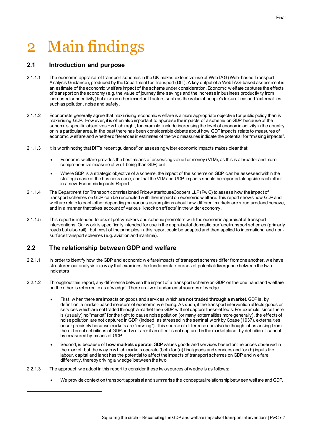# <span id="page-8-0"></span>2 Main findings

## <span id="page-8-1"></span>**2.1 Introduction and purpose**

- 2.1.1.1 The economic appraisal of transport schemes in the UK makes extensive use of WebTAG (Web-based Transport Analysis Guidance), produced by the Department for Transport (DfT). A key output of a WebTAG-based assessment is an estimate of the economic w elfare impact of the scheme under consideration. Economic w elfare captures the effects of transport on the economy (e.g. the value of journey time savings and the increase in business productivity from increased connectivity) but also on other important factors such as the value of people's leisure time and 'externalities' such as pollution, noise and safety.
- 2.1.1.2 Economists generally agree that maximising economic w elfare is a more appropriate objective for public policy than is maximising GDP. How ever, it is often also important to appraise the impacts of a scheme on GDP because of the scheme's specific objectives − w hich might, for example, include increasing the level of economic activity in the country or in a particular area. In the past there has been considerable debate about how GDP impacts relate to measures of economic w elfare and whether differences in estimates of the tw o measures indicate the potential for "missing impacts".
- 2.1.1.3 It is w orth noting that DfT's recent guidance $^9$  on assessing wider economic impacts makes clear that:
	- Economic w elfare provides the best means of assessing value for money (VfM), as this is a broader and more comprehensive measure of w ell-being than GDP; but
	- Where GDP is a strategic objective of a scheme, the impact of the scheme on GDP can be assessed within the strategic case of the business case, and that the VfM and GDP impacts should be reported alongside each other in a new Economic Impacts Report.
- 2.1.1.4 The Department for Transport commissioned Pricew aterhouseCoopers LLP (Pw C) to assess how the impact of transport schemes on GDP can be reconciled w ith their impact on economic w elfare. This report shows how GDP and w elfare relate to each other depending on various assumptions about how different markets are structured and behave, and in a manner that takes account of various "knock on effects" in the w ider economy.
- 2.1.1.5 This report is intended to assist policymakers and scheme promoters w ith the economic appraisal of transport interventions. Our w ork is specifically intended for use in the appraisal of domestic surface transport schemes (primarily roads but also rail), but most of the principles in this report could be adapted and then applied to international and nonsurface transport schemes (e.g. aviation and maritime).

## <span id="page-8-2"></span>**2.2 The relationship between GDP and welfare**

- 2.2.1.1 In order to identify how the GDP and economic w elfare impacts of transport schemes differ from one another, we have structured our analysis in a w ay that examines the fundamental sources of potential divergence between the tw o indicators.
- 2.2.1.2 Throughout this report, any difference between the impact of a transport scheme on GDP on the one hand and w elfare on the other is referred to as a 'w edge'. There are tw o fundamental sources of wedge:
	- First, w hen there are impacts on goods and services which are **not traded through a market**. GDP is, by definition, a market-based measure of economic w ellbeing. As such, if the transport intervention affects goods or services which are not traded through a market then GDP will not capture these effects. For example, since there is (usually) no "market" for the right to cause noise pollution (or many externalities more generally), the effects of noise pollution are not captured in GDP (indeed, as stressed in the seminal w ork by Coase (1937), externalities occur precisely because markets are "missing"). This source of difference can also be thought of as arising from the different definitions of GDP and w elfare: if an effect is not captured in the marketplace, by definition it cannot by measured by means of GDP.
	- Second, is because of **how markets operate**. GDP values goods and services based on the prices observed in the market, but the w ay in w hich markets operate (both for (a) final goods and services and for (b) inputs like labour, capital and land) has the potential to affect the impacts of transport schemes on GDP and w elfare differently, thereby driving a 'w edge' between the two.
- 2.2.1.3 The approach w e adopt in this report to consider these tw o sources of wedge is as follows:
	- We provide context on transport appraisal and summarise the conceptual relationship betw een welfare and GDP.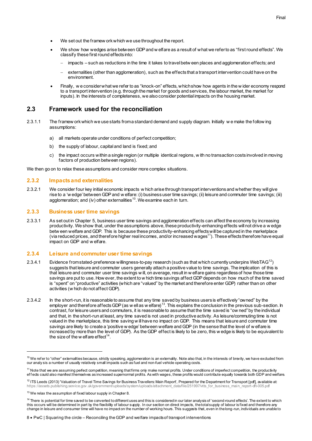- We set out the framew ork which we use throughout the report.
- We show how wedges arise between GDP and w elfare as a result of what we refer to as "first round effects". We classify these first round effects into:
	- impacts such as reductions in the time it takes to travel betw een places and agglomeration effects; and
	- externalities (other than agglomeration), such as the effects that a transport intervention could have on the environment.
- Finally, we consider what we refer to as "knock-on" effects, which show how agents in the wider economy respond to a transport intervention (e.g. through the market for goods and services, the labour market, the market for inputs). In the interests of completeness, we also consider potential impacts on the housing market.

#### <span id="page-9-0"></span>**2.3 Framework used for the reconciliation**

- 2.3.1.1 The framew ork which we use starts from a standard demand and supply diagram. Initially w e make the follow ing assumptions:
	- a) all markets operate under conditions of perfect competition;
	- b) the supply of labour, capital and land is fixed; and
	- c) the impact occurs within a single region (or multiple identical regions, w ith no transaction costs involved in moving factors of production between regions).

We then go on to relax these assumptions and consider more complex situations.

#### **2.3.2 Impacts and externalities**

2.3.2.1 We consider four key initial economic impacts w hich arise through transport interventions and whether they will give rise to a 'w edge' between GDP and w elfare: (i) business user time savings; (ii) leisure and commuter time savings; (iii) agglomeration; and (iv) other externalities<sup>10</sup>. We examine each in turn.

#### **2.3.3 Business user time savings**

2.3.3.1 As set out in Chapter 5, business user time savings and agglomeration effects can affect the economy by increasing productivity. We show that, under the assumptions above, these productivity-enhancing effects will not drive a w edge betw een welfare and GDP. This is because these productivity-enhancing effects will be captured in the marketplace (via reduced prices, and therefore higher real incomes, and/or increased wages $^{11}$ ). These effects therefore have equal impact on GDP and w elfare.

#### **2.3.4 Leisure and commuter user time savings**

- 2.3.4.1 Evidence from stated-preference willingness-to-pay research (such as that which currently underpins WebTAG<sup>12</sup>) suggests that leisure and commuter users generally attach a positive value to time savings. The implication of this is that leisure and commuter user time savings w ill, on average, result in w elfare gains regardless of how those time savings are put to use. How ever, the extent to w hich time savings affect GDP depends on how much of the time saved is "spent" on "productive" activities (which are "valued" by the market and therefore enter GDP) rather than on other activities (w hich do not affect GDP).
- 2.3.4.2 In the short-run, it is reasonable to assume that any time saved by business users is effectively "owned" by the employer and therefore affects GDP (as w ell as w elfare)<sup>13</sup>. This explains the conclusion in the previous sub-section. In contrast, for leisure users and commuters, it is reasonable to assume that the time saved is "ow ned" by the individual and that, in the short-run at least, any time saved is not used in productive activity. As leisure/commuting time is not valued in the marketplace, this time saving w ill have no impact on GDP. This means that leisure and commuter time savings are likely to create a 'positive w edge' between welfare and GDP (in the sense that the level of w elfare is increased by more than the level of GDP). As the GDP effect is likely to be zero, this w edge is likely to be equivalent to the size of the w elfare effect $14$ .

 $10$  We refer to "other" externalties because, strictly speaking, agglomeration is an externality. Note also that, in the interests of brevity, we have excluded from our analy sis a number of usually relatively small impacts such as fuel and non-fuel vehicle operating costs.

<sup>&</sup>lt;sup>11</sup> Note that we are assuming perfect competition, meaning that firms only make normal profits. Under conditions of imperfect competition, the productivity effects could also manifest themselves as increased supernormal profits. As with wages, these profits would contribute equally towards both GDP and welfare.

<sup>&</sup>lt;sup>12</sup> ITS Leeds (2013) 'Valuation of Travel Time Savings for Business Travellers: Main Report', Prepared for the Department for Transport [pdf], available at: [https://assets.publishing.service.gov.uk/government/uploads/system/uploads/attachment\\_data/file/251997/vtts\\_for\\_business\\_main\\_report-dft-005.pdf](https://assets.publishing.service.gov.uk/government/uploads/system/uploads/attachment_data/file/251997/vtts_for_business_main_report-dft-005.pdf)

 $13$  We relax the assumption of fixed labour supply in Chapter 8.

<sup>&</sup>lt;sup>14</sup> There is potential for time saved to be converted to different uses and this is considered in our later analysis of 'second-round effects'. The extent to which this occurs will be determined in part by the flexibility of labour supply. In our section on direct impacts, the total supply of labour is fixed and therefore any change in leisure and consumer time will have no impact on the number of working hours. This suggests that, even in the long-run, individuals are unable to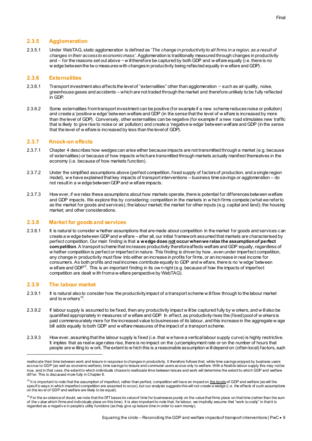2.3.5.1 Under WebTAG, static agglomeration is defined as '*The change in productivity to all firms in a region, as a result of changes in their access to economic mass'*. Agglomeration is traditionally measured through changes in productivity and – for the reasons set out above − w ill therefore be captured by both GDP and w elfare equally (i.e. there is no w edge between the tw o measures with changes in productivity being reflected equally in w elfare and GDP).

#### **2.3.6 Externalities**

- 2.3.6.1 Transport investment also affects the level of "externalities" other than agglomeration − such as air quality, noise, greenhouse gases and accidents – which are not traded through the market and therefore unlikely to be fully reflected in GDP.
- 2.3.6.2 Some externalities from transport investment can be positive (for example if a new scheme reduces noise or pollution) and create a 'positive w edge' between welfare and GDP (in the sense that the level of w elfare is increased by more than the level of GDP). Conversely, other externalities can be negative (for example if a new road stimulates new traffic that is likely to give rise to noise or air pollution) and create a 'negative w edge' between welfare and GDP (in the sense that the level of w elfare is increased by less than the level of GDP).

#### **2.3.7 Knock-on effects**

- 2.3.7.1 Chapte[r 4](#page-24-3) describes how wedges can arise either because impacts are not transmitted through a market (e.g. because of externalities) or because of how impacts which are transmitted through markets actually manifest themselves in the economy (i.e. because of how markets function).
- 2.3.7.2 Under the simplified assumptions above (perfect competition, f ixed supply of factors of production, and a single region model), w e have explained that key impacts of transport interventions – business time savings or agglomeration – do not result in a w edge between GDP and w elfare impacts.
- 2.3.7.3 How ever, if we relax these assumptions about how markets operate, there is potential for differences between welfare and GDP impacts. We explore this by considering: competition in the markets in w hich firms compete (what we refer to as the market for goods and services); the labour market; the market for other inputs (e.g. capital and land); the housing market; and other considerations.

#### **2.3.8 Market for goods and services**

2.3.8.1 It is natural to consider w hether assumptions that are made about competition in the market for goods and services can create a w edge between GDP and w elfare – after all, our initial framework assumed that markets are characterised by perfect competition. Our main finding is that **a wedge does not occur when we relax the assumption of perfect competition**. A transport scheme that increases productivity therefore affects welfare and GDP equally, regardless of w hether competition is perfect or imperfect in nature. This finding is driven by how , even under imperfect competition, any change in productivity must flow into either an increase in profits for firms, or an increase in real income for consumers. As both profits and real incomes contribute equally to GDP and w elfare, there is no 'w edge' between w elfare and GDP<sup>15</sup>. This is an important finding in its ow n right (e.g. because of how the impacts of imperfect competition are dealt w ith from a w elfare perspective by WebTAG).

#### **2.3.9 The labour market**

- 2.3.9.1 It is natural also to consider how the productivity impact of a transport scheme w ill flow through to the labour market and to w orkers<sup>16</sup>.
- 2.3.9.2 If labour supply is assumed to be fixed, then any productivity impact w ill be captured fully by w orkers, and w ill also be quantified appropriately in measures of w elfare and GDP. In effect, as productivity rises the (fixed) pool of w orkers is paid commensurately more for the increased value to businesses of its labour, and this increase in the aggregate w age bill adds equally to both GDP and w elfare measures of the impact of a transport scheme.
- 2.3.9.3 How ever, assuming that the labour supply is fixed (i.e. that w e have a vertical labour supply curve) is highly restrictive. It implies that as real w age rates rise, there is no impact on the (un)employment rate or on the number of hours that people are w illing to w ork. The extent to w hich this is a reasonable assumption w ill depend on (often local) factors, such

reallocate their time between work and leisure in response to changes in productivity. It therefore follows that, while time savings enjoyed by business users accrue to GDP (as well as economic welfare), time savings to leisure and commuter users accrue only to welfare. With a flexible labour supply this may not be true, and in that case, the extent to which individuals choose to reallocate time between leisure and work will determine the extent to which GDP and welfare differ. This is discussed more fully in Chapter 8.

<sup>&</sup>lt;sup>15</sup> It is important to note that the assumption of imperfect, rather than perfect, competition will have an impact on the levels of GDP and welfare (as will the specific ways in which imperfect competition are assumed to occur), but our analysis suggests this will not create a wedge (i.e. the effects of such assumptions on the lev el of GDP and welfare are likely to be equal).

 $^{16}$  For the av oidance of doubt, we note that the DfT bases its value of time for businesses purely on the value that firms place on that time (rather than the sum of the v alue which firms and individuals place on this time). It is also important to note that, for labour, we implicitly assume that "work is costly" in that it is regarded as a negativ e in people's utility functions (as they give up leisure time in order to earn money).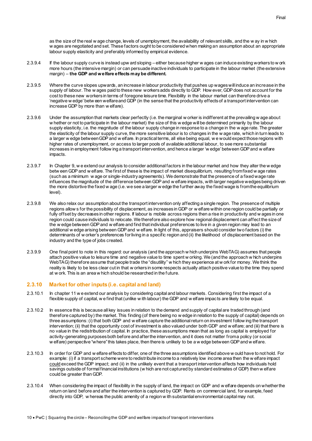as the size of the real w age change, levels of unemployment, the availability of relevant skills, and the w ay in w hich w ages are negotiated and set. These factors ought to be considered when making an assumption about an appropriate labour supply elasticity and preferably informed by empirical evidence.

- 2.3.9.4 If the labour supply curve is instead upw ard sloping either because higher w ages can induce existing workers to w ork more hours (the intensive margin) or can persuade inactive individuals to participate in the labour market (the extensive margin) – **the GDP and welfare effects may be different.**
- 2.3.9.5 Where the curve slopes upwards, an increase in labour productivity that pushes up wages will induce an increase in the supply of labour. The w ages paid to these new workers adds directly to GDP. How ever, GDP does not account for the cost to these new workers in terms of foregone leisure time. Flexibility in the labour market can therefore drive a 'negative w edge' betw een welfare and GDP (in the sense that the productivity effects of a transport intervention can increase GDP by more than w elfare).
- 2.3.9.6 Under the assumption that markets clear perfectly (i.e. the marginal w orker is indifferent at the prevailing w age about w hether or not to participate in the labour market) the size of this w edge will be determined primarily by the labour supply elasticity, i.e. the magnitude of the labour supply change in response to a change in the w age rate. The greater the elasticity of the labour supply curve, the more sensitive labour is to changes in the w age rate, which in turn leads to a larger w edge between GDP and w elfare. In practical terms, all else being equal, we would expect those regions with higher rates of unemployment, or access to larger pools of available additional labour, to see more substantial increases in employment follow ing a transport intervention, and hence a larger 'w edge' between GDP and w elfare impacts.
- 2.3.9.7 In Chapte[r 9,](#page-38-2) w e extend our analysis to consider additional factors in the labour market and how they alter the w edge betw een GDP and w elfare. The first of these is the impact of market disequilibrium, resulting from fixed w age rates (such as a minimum w age or single-industry agreements). We demonstrate that the presence of a fixed wage rate influences the magnitude of the difference between GDP and w elfare impacts, with larger negative wedges being driven the more distortive the fixed w age (i.e. we see a larger w edge the further away the fixed wage is from the equilibrium level).
- 2.3.9.8 We also relax our assumption about the transport intervention only affecting a single region. The presence of multiple regions allow s for the possibility of displacement, as increases in GDP or w elfare within one region could be partially or fully offset by decreases in other regions. If labour is mobile across regions then a rise in productivity and w ages in one region could cause individuals to relocate. We therefore also explore how regional displacement can affect the size of the w edge between GDP and w elfare and find that individual preferences to live in a given region may lead to an additional w edge arising between GDP and w elfare. In light of this, appraisers should consider two factors (i) the determinants of w orker's preferences for living in a specific region and (ii) the likelihood of displacement based on the industry and the type of jobs created.
- 2.3.9.9 One final point to note in this regard: our analysis (and the approach w hich underpins WebTAG) assumes that people attach positive value to leisure time and negative value to time spent w orking. We (and the approach w hich underpins WebTAG) therefore assume that people trade the "disutility" w hich they experience at w ork for money. We think the reality is likely to be less clear cut in that w orkers in some respects actually attach positive value to the time they spend at w ork. This is an area w hich should be researched in the f uture.

#### **2.3.10 Market for other inputs (i.e. capital and land)**

- 2.3.10.1 In chapter 11 w e extend our analysis by considering capital and labour markets. Considering first the impact of a flexible supply of capital, w e find that (unlike w ith labour) the GDP and w elfare impacts are likely to be equal.
- 2.3.10.2 In essence this is because all key issues in relation to the demand and supply of capital are traded through (and therefore captured by) the market. This finding (of there being no w edge in relation to the supply of capital) depends on three assumptions: (i) that both GDP and w elfare capture the additional return on investment follow ing the transport intervention; (ii) that the opportunity cost of investment is also valued under both GDP and w elfare; and (iii) that there is no value in the redistribution of capital. In practice, these assumptions mean that as long as capital is employed for activity-generating purposes both before and after the intervention, and it does not matter from a policy (or social w elfare) perspective "where" this takes place, then there is unlikely to be a w edge between GDP and w elfare.
- 2.3.10.3 In order for GDP and w elfare effects to differ, one of the three assumptions identified above w ould have to not hold. For example: (i) if a transport scheme were to redistribute income to a relatively low income area then the w elfare impact could exceed the GDP impact; and (ii) in the unlikely event that a transport intervention affects how individuals hold savings outside of formal financial institutions (w hich are not captured by standard estimates of GDP) then w elfare could be greater than GDP.
- 2.3.10.4 When considering the impact of flexibility in the supply of land, the impact on GDP and w elfare depends on whether the return on land before and after the intervention is captured by GDP. Rents on commercial land, for example, feed directly into GDP, w hereas the public amenity of a region w ith substantial environmental capital may not.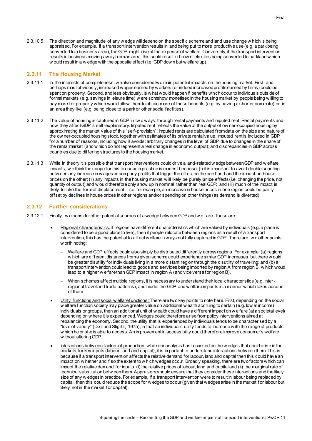2.3.10.5 The direction and magnitude of any w edge will depend on the specific scheme and land use change w hich is being appraised. For example, if a transport intervention results in land being put to more productive use (e.g. a park being converted to a business area), the GDP might rise at the expense of w elfare. Conversely, if the transport intervention results in business moving aw ay from an area, this could result in brow nfield sites being converted to parkland w hich w ould result in a w edge with the opposite effect (i.e. GDP dow n but w elfare up).

#### **2.3.11 The Housing Market**

- 2.3.11.1 In the interests of completeness, we also considered two main potential impacts on the housing market. First, and perhaps most obviously, increased wages earned by workers (or indeed increased profits earned by firms) could be spent on property. Second, and less obviously, is w hat would happen if benefits which occur to individuals outside of formal markets (e.g. savings in leisure time) w ere somehow monetised in the housing market by people being w illing to pay more for property which would allow them to obtain more of these benefits (e.g. by having a shorter commute) or in an area they like (e.g. being close to a park or other social facilities).
- 2.3.11.2 The value of housing is captured in GDP in tw o ways: through rental payments and imputed rent. Rental payments and how they affect GDP is self-explanatory. Imputed rent reflects the value of the output of ow ner-occupied housing by approximating the market value of this "self-provision". Imputed rents are calculated from data on the size and nature of the ow ner-occupied housing stock, together with estimates of its private rental value. Imputed rent is included in GDP for a number of reasons, including how it avoids: arbitrary changes in the level of GDP due to changes in the share of the rental market (and w hich do not represent a real change in economic output); and discrepancies in GDP across countries due to differing structures to the housing market.
- 2.3.11.3 While in theory it is possible that transport interventions could drive a land-related w edge between GDP and w elfare impacts, w e think the scope for this to occur in practice is modest because: (i) it is important to avoid double counting betw een any increase in w ages or company profits that trigger the effect on the one hand and the impact on house prices on the other; (ii) any impacts in the housing market w ill likely be purely **price** effects (i.e. changing the price, not quantity of output) and w ould therefore only show up in nominal rather than real GDP; and (iii) much of the impact is likely to take the form of displacement – so, for example, an increase in house prices in one region could be partly offset by declines in house prices in other regions and/or spending on other things (as demand is diverted).

#### **2.3.12 Further considerations**

- 2.3.12.1 Finally, w e consider other potential sources of a wedge between GDP and w elfare. These are:
	- Regional characteristics: If regions have different characteristics which are valued by individuals (e.g. a place is considered to be a good place to live), then if people relocate betw een regions as a result of a transport intervention, this has the potential to affect welfare in w ays not fully captured in GDP. There are tw o other points w orth noting:
		- Welfare and GDP effects could also simply be distributed differently across regions. For example: (a) regions w hich are different distances from a given scheme could experience similar GDP increases, but there w ould be greater disutility for individuals living in a more distant region through the disutility of travelling; and (b) a transport intervention could lead to goods and services being imported by region A from region B, w hich would lead to a higher w elfare than GDP impact in region A (and vice versa for region B).
		- When schemes affect multiple regions, it is necessary to understand their local characteristics (e.g. interregional travel and trade patterns), and model the GDP and w elfare impacts in a manner w hich takes account of them.
	- Utility functions and social w elfare functions: There are two key points to note here. First, depending on the social w elfare function society may place greater value on additional w ealth accruing to certain (e.g. low er income) individuals or groups, then an additional unit of w ealth could have a different impact on w elfare (at a societal level) depending on w here it is experienced. Wedges could therefore arise from policy interventions aimed at rebalancing the economy. Second, the utility that is experienced by individuals tends to be characterised by a "love of variety" (Dixit and Stiglitz, 1975), in that an individual's utility tends to increase w ith the range of products w hich he or she is able to access. An improvement in accessibility could therefore improve consumer's welfare w ithout altering GDP.
	- Interactions betw een factors of production: while our analysis has focussed on the w edges that could arise in the markets for key inputs (labour, land and capital), it is important to understand interactions between them. This is because if a transport intervention affects the relative demand for labour, land and capital then this could have an impact on w hether and if so the extent to w hich wedges occur. Broadly speaking, there are two factors which can impact the relative demand for inputs: (i) the relative prices of labour, land and capital and (ii) the marginal rate of technical substitution betw een them. Appraisers should ensure that they consider these interactions and the likely size of any w edges in practice. For example, if a transport intervention were to result in labour being replaced by capital, then this could reduce the scope for w edges to occur (given that wedges arise in the market for labour but likely not in the market for capital).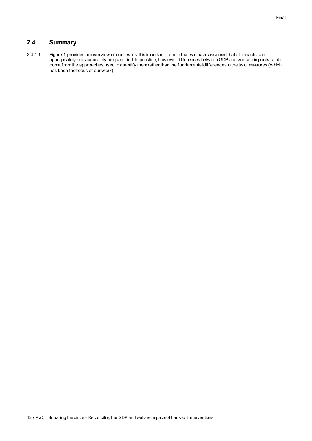## <span id="page-13-0"></span>**2.4 Summary**

2.4.1.1 Figure 1 provides an overview of our results. It is important to note that w e have assumed that all impacts can appropriately and accurately be quantified. In practice, how ever, differences between GDP and w elfare impacts could come from the approaches used to quantify them rather than the fundamental differences in the tw o measures (which has been the focus of our w ork).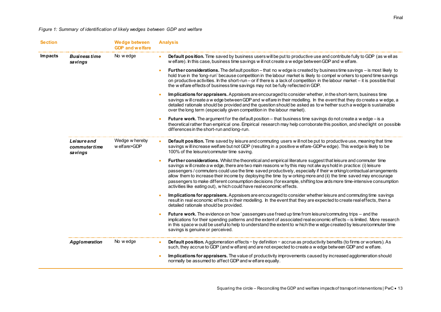### *Figure 1: Summary of identification of likely wedges between GDP and welfare*

<span id="page-14-0"></span>

| <b>Section</b>                                    | <b>Wedge between</b><br><b>GDP</b> and welfare | <b>Analysis</b>                                                                                                                                                                                                                                                                                                                                                                                                                                                                                                                                                                                                                                                              |
|---------------------------------------------------|------------------------------------------------|------------------------------------------------------------------------------------------------------------------------------------------------------------------------------------------------------------------------------------------------------------------------------------------------------------------------------------------------------------------------------------------------------------------------------------------------------------------------------------------------------------------------------------------------------------------------------------------------------------------------------------------------------------------------------|
| <b>Impacts</b><br><b>Business time</b><br>savings | No wedge                                       | Default position. Time saved by business users will be put to productive use and contribute fully to GDP (as well as<br>$\bullet$<br>w elfare). In this case, business time savings will not create a w edge between GDP and w elfare.                                                                                                                                                                                                                                                                                                                                                                                                                                       |
|                                                   |                                                | Further considerations. The default position - that no w edge is created by business time savings - is most likely to<br>hold true in the 'long-run' because competition in the labour market is likely to compel w orkers to spend time savings<br>on productive activities. In the short-run - or if there is a lack of competition in the labour market - it is possible that<br>the w elfare effects of business time savings may not be fully reflected in GDP.                                                                                                                                                                                                         |
|                                                   |                                                | Implications for appraisers. Appraisers are encouraged to consider whether, in the short-term, business time<br>savings will create a w edge between GDP and w elfare in their modelling. In the event that they do create a w edge, a<br>detailed rationale should be provided and the question should be asked as to w hether such a wedge is sustainable<br>over the long term (especially given competition in the labour market).                                                                                                                                                                                                                                       |
|                                                   |                                                | <b>Future work.</b> The argument for the default position – that business time savings do not create a wedge – is a<br>theoretical rather than empirical one. Empirical research may help corroborate this position, and shed light on possible<br>differences in the short-run and long-run.                                                                                                                                                                                                                                                                                                                                                                                |
| Leisure and<br>commuter time<br>savings           | Wedge w hereby<br>w elfare>GDP                 | Default position. Time saved by leisure and commuting users will not be put to productive use, meaning that time<br>savings will increase welfare but not GDP (resulting in a positive w elfare-GDPw edge). This wedge is likely to be<br>100% of the leisure/commuter time saving.                                                                                                                                                                                                                                                                                                                                                                                          |
|                                                   |                                                | Further considerations. Whilst the theoretical and empirical literature suggest that leisure and commuter time<br>savings w ill create a w edge, there are two main reasons w hy this may not alw ays hold in practice: (i) leisure<br>passengers / commuters could use the time saved productively, especially if their w orking/contractual arrangements<br>allow them to increase their income by deploying the time by working more and (ii) the time saved may encourage<br>passengers to make different consumption decisions (for example, shifting tow ards more time-intensive consumption<br>activities like eating out), w hich could have real economic effects. |
|                                                   |                                                | Im plications for appraisers. Appraisers are encouraged to consider whether leisure and commuting time savings<br>result in real economic effects in their modelling. In the event that they are expected to create real effects, then a<br>detailed rationale should be provided.                                                                                                                                                                                                                                                                                                                                                                                           |
|                                                   |                                                | Future work. The evidence on 'how' passengers use freed up time from leisure/commuting trips - and the<br>implications for their spending patterns and the extent of associated real economic effects - is limited. More research<br>in this space w ould be useful to help to understand the extent to w hich the w edge created by leisure/commuter time<br>savings is genuine or perceived.                                                                                                                                                                                                                                                                               |
| Agglomeration                                     | No wedge                                       | Default position. Agglomeration effects - by definition - accrue as productivity benefits (to firms or workers). As<br>such, they accrue to GDP (and w elfare) and are not expected to create a w edge between GDP and w elfare.                                                                                                                                                                                                                                                                                                                                                                                                                                             |
|                                                   |                                                | Implications for appraisers. The value of productivity improvements caused by increased agglomeration should<br>normally be assumed to affect GDP and w elfare equally.                                                                                                                                                                                                                                                                                                                                                                                                                                                                                                      |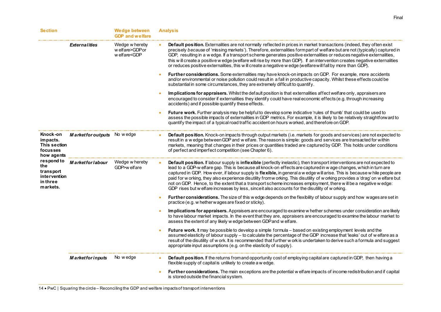| <b>Section</b>                                                                                                                           |                          | <b>Wedge between</b><br><b>GDP</b> and welfare                                                                                                                                                                                                                                                                                                                                                                                                                                                                                                                                                                                                                                                         | <b>Analysis</b>                                                                                                                                                                                                                                                                                                                                                                                                                                                                                                                                                                                                                                                                                                                     |
|------------------------------------------------------------------------------------------------------------------------------------------|--------------------------|--------------------------------------------------------------------------------------------------------------------------------------------------------------------------------------------------------------------------------------------------------------------------------------------------------------------------------------------------------------------------------------------------------------------------------------------------------------------------------------------------------------------------------------------------------------------------------------------------------------------------------------------------------------------------------------------------------|-------------------------------------------------------------------------------------------------------------------------------------------------------------------------------------------------------------------------------------------------------------------------------------------------------------------------------------------------------------------------------------------------------------------------------------------------------------------------------------------------------------------------------------------------------------------------------------------------------------------------------------------------------------------------------------------------------------------------------------|
|                                                                                                                                          | <b>Externalities</b>     | Wedge w hereby<br>w elfare>GDPor<br>w elfare <gdp< td=""><td>Default position. Externalities are not normally reflected in prices in market transactions (indeed, they often exist<br/>precisely because of 'missing markets'). Therefore, externalities formpart of welfare but are not (typically) captured in<br/>GDP, resulting in a w edge. If a transport scheme generates positive externalities or reduces negative externalities,<br/>this will create a positive w edge (welfare will rise by more than GDP). If an intervention creates negative externalities<br/>or reduces positive externalities, this w ill create a negative w edge (welfare will fall by more than GDP).</td></gdp<> | Default position. Externalities are not normally reflected in prices in market transactions (indeed, they often exist<br>precisely because of 'missing markets'). Therefore, externalities formpart of welfare but are not (typically) captured in<br>GDP, resulting in a w edge. If a transport scheme generates positive externalities or reduces negative externalities,<br>this will create a positive w edge (welfare will rise by more than GDP). If an intervention creates negative externalities<br>or reduces positive externalities, this w ill create a negative w edge (welfare will fall by more than GDP).                                                                                                           |
|                                                                                                                                          |                          |                                                                                                                                                                                                                                                                                                                                                                                                                                                                                                                                                                                                                                                                                                        | Further considerations. Some externalities may have knock-on impacts on GDP. For example, more accidents<br>and/or environmental or noise pollution could result in a fall in productive capacity. Whilst these effects could be<br>substantial in some circumstances, they are extremely difficult to quantify.                                                                                                                                                                                                                                                                                                                                                                                                                    |
|                                                                                                                                          |                          |                                                                                                                                                                                                                                                                                                                                                                                                                                                                                                                                                                                                                                                                                                        | Im plications for appraisers. Whilst the default position is that externalities affect welfare only, appraisers are<br>encouraged to consider if externalities they identify could have real economic effects (e.g. through increasing<br>accidents) and if possible quantify these effects.                                                                                                                                                                                                                                                                                                                                                                                                                                        |
|                                                                                                                                          |                          |                                                                                                                                                                                                                                                                                                                                                                                                                                                                                                                                                                                                                                                                                                        | Future work. Further analysis may be helpful to develop some indicative 'rules of thumb' that could be used to<br>assess the possible impacts of externalities in GDP metrics. For example, it is likely to be relatively straightforward to<br>quantify the impact of a typical road traffic accident on hours worked, and therefore on GDP.                                                                                                                                                                                                                                                                                                                                                                                       |
| Knock-on<br>impacts.<br>This section<br>focusses<br>how agents<br>respond to<br>the<br>transport<br>intervention<br>in three<br>markets. | <b>Marketfor outputs</b> | No w edge                                                                                                                                                                                                                                                                                                                                                                                                                                                                                                                                                                                                                                                                                              | Default position. Knock-on impacts through output markets (i.e. markets for goods and services) are not expected to<br>result in a wedge between GDP and welfare. The reason is simple: goods and services are transacted for within<br>markets, meaning that changes in their prices or quantities traded are captured by GDP. This holds under conditions<br>of perfect and imperfect competition (see Chapter 6).                                                                                                                                                                                                                                                                                                                |
|                                                                                                                                          | <b>Marketfor labour</b>  | Wedge w hereby<br>GDP>w elfare                                                                                                                                                                                                                                                                                                                                                                                                                                                                                                                                                                                                                                                                         | Default position. If labour supply is inflexible (perfectly inelastic), then transport interventions are not expected to<br>lead to a GDP-w elfare gap. This is because all knock-on effects are captured in w age changes, which in turn are<br>captured in GDP. How ever, if labour supply is flexible, in general a w edge will arise. This is because w hile people are<br>paid for w orking, they also experience disutility fromw orking. This disutility of w orking provides a 'drag' on w elfare but<br>not on GDP. Hence, to the extent that a transport scheme increases employment, there will be a negative wedge:<br>GDP rises but w elfare increases by less, since it also accounts for the disutility of w orking. |
|                                                                                                                                          |                          |                                                                                                                                                                                                                                                                                                                                                                                                                                                                                                                                                                                                                                                                                                        | Further considerations. The size of this w edge depends on the flexibility of labour supply and how wages are set in<br>practice (e.g. w hether wages are fixed or sticky).                                                                                                                                                                                                                                                                                                                                                                                                                                                                                                                                                         |
|                                                                                                                                          |                          |                                                                                                                                                                                                                                                                                                                                                                                                                                                                                                                                                                                                                                                                                                        | Im plications for appraisers. Appraisers are encouraged to examine w hether schemes under consideration are likely<br>to have labour market impacts. In the event that they are, appraisers are encouraged to examine the labour market to<br>assess the extent of any likely w edge between GDP and w elfare.                                                                                                                                                                                                                                                                                                                                                                                                                      |
|                                                                                                                                          |                          |                                                                                                                                                                                                                                                                                                                                                                                                                                                                                                                                                                                                                                                                                                        | Future work. It may be possible to develop a simple formula - based on existing employment levels and the<br>assumed elasticity of labour supply - to calculate the percentage of the GDP increase that 'leaks' out of w elfare as a<br>result of the disutility of w ork. It is recommended that further w ork is undertaken to derive such a formula and suggest<br>appropriate input assumptions (e.g. on the elasticity of supply).                                                                                                                                                                                                                                                                                             |
|                                                                                                                                          | <b>Marketfor inputs</b>  | No wedge                                                                                                                                                                                                                                                                                                                                                                                                                                                                                                                                                                                                                                                                                               | Default position. If the returns from and opportunity cost of employing capital are captured in GDP, then having a<br>flexible supply of capital is unlikely to create a w edge.                                                                                                                                                                                                                                                                                                                                                                                                                                                                                                                                                    |
|                                                                                                                                          |                          |                                                                                                                                                                                                                                                                                                                                                                                                                                                                                                                                                                                                                                                                                                        | Further considerations. The main exceptions are the potential w elfare impacts of income redistribution and if capital<br>is stored outside the financial system.                                                                                                                                                                                                                                                                                                                                                                                                                                                                                                                                                                   |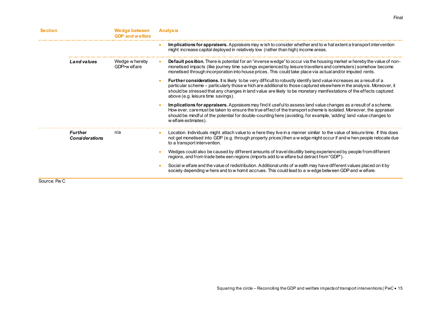| <b>Section</b> |                                  | Wedge between<br><b>GDP</b> and welfare | <b>Analysis</b>                                                                                                                                                                                                                                                                                                                                                                                                   |
|----------------|----------------------------------|-----------------------------------------|-------------------------------------------------------------------------------------------------------------------------------------------------------------------------------------------------------------------------------------------------------------------------------------------------------------------------------------------------------------------------------------------------------------------|
|                |                                  |                                         | Implications for appraisers. Appraisers may w ish to consider whether and to w hat extent a transport intervention<br>might increase capital deployed in relatively low (rather than high) income areas.                                                                                                                                                                                                          |
|                | Land values                      | Wedge w hereby<br>GDP>w elfare          | <b>Default position.</b> There is potential for an "inverse wedge" to occur via the housing market w hereby the value of non-<br>monetised impacts (like journey time savings experienced by leisure travellers and commuters) somehow become<br>monetised through incorporation into house prices. This could take place via actual and/or imputed rents.                                                        |
|                |                                  |                                         | <b>Further considerations.</b> It is likely to be very difficult to robustly identify land value increases as a result of a<br>particular scheme – particularly those w hich are additional to those captured elsewhere in the analysis. Moreover, it<br>should be stressed that any changes in land value are likely to be monetary manifestations of the effects captured<br>above (e.g. leisure time savings). |
|                |                                  |                                         | Implications for appraisers. Appraisers may find it useful to assess land value changes as a result of a scheme.<br>How ever, caremust be taken to ensure the true effect of the transport scheme is isolated. Moreover, the appraiser<br>should be mindful of the potential for double-counting here (avoiding, for example, 'adding' land value changes to<br>w elfare estimates).                              |
|                | Further<br><b>Considerations</b> | n/a                                     | Location. Individuals might attach value to w here they live in a manner similar to the value of leisure time. If this does<br>not get monetised into GDP (e.g. through property prices) then a w edge might occur if and w hen people relocate due<br>to a transport intervention.                                                                                                                               |
|                |                                  |                                         | Wedges could also be caused by different amounts of travel disutility being experienced by people from different<br>regions, and from trade betw een regions (imports add to w elfare but detract from "GDP").                                                                                                                                                                                                    |
|                |                                  |                                         | Social w elfare and the value of redistribution. Additional units of w ealth may have different values placed on it by<br>society depending w here and to w homit accrues. This could lead to a w edge between GDP and w elfare.                                                                                                                                                                                  |
| Source: Pw C   |                                  |                                         |                                                                                                                                                                                                                                                                                                                                                                                                                   |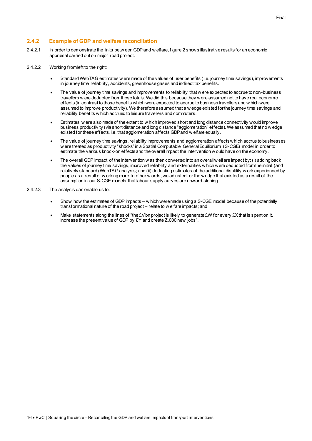#### **2.4.2 Example of GDP and welfare reconciliation**

- 2.4.2.1 In order to demonstrate the links betw een GDP and w elfare, figure 2 shows illustrative results for an economic appraisal carried out on major road project.
- 2.4.2.2 Working from left to the right:
	- Standard WebTAG estimates w ere made of the values of user benefits (i.e. journey time savings), improvements in journey time reliability, accidents, greenhouse gases and indirect tax benefits.
	- The value of journey time savings and improvements to reliability that w ere expected to accrue to non-business travellers w ere deducted from these totals. We did this because they were assumed not to have real economic effects (in contrast to those benefits which were expected to accrue to business travellers and w hich were assumed to improve productivity). We therefore assumed that a w edge existed for the journey time savings and reliability benefits w hich accrued to leisure travellers and commuters.
	- Estimates w ere also made of the extent to w hich improved short and long distance connectivity would improve business productivity (via short distance and long distance "agglomeration" effects). We assumed that no w edge existed for these effects, i.e. that agglomeration affects GDP and w elfare equally.
	- The value of journey time savings, reliability improvements and agglomeration affects which accrue to businesses w ere treated as productivity "shocks" in a Spatial Computable General Equilibrium (S-CGE) model in order to estimate the various knock-on effects and the overall impact the intervention w ould have on the economy.
	- The overall GDP impact of the intervention w as then converted into an overall w elfare impact by: (i) adding back the values of journey time savings, improved reliability and externalities w hich were deducted from the initial (and relatively standard) WebTAG analysis; and (ii) deducting estimates of the additional disutility w ork experienced by people as a result of w orking more. In other w ords, we adjusted for the wedge that existed as a result of the assumption in our S-CGE models that labour supply curves are upward-sloping.
- 2.4.2.3 The analysis can enable us to:
	- Show how the estimates of GDP impacts w hich were made using a S-CGE model because of the potentially transformational nature of the road project – relate to w elfare impacts; and
	- Make statements along the lines of "the £V bn project is likely to generate £W for every £X that is spent on it, increase the present value of GDP by £Y and create Z,000 new jobs".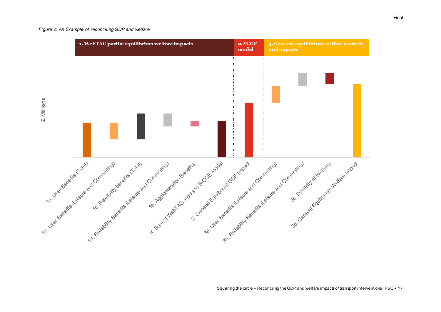#### *Figure 2: An Example of reconciling GDP and welfare*

<span id="page-18-0"></span>

Squaring the circle – Reconciling the GDP and welfare impacts of transport interventions | PwC • 17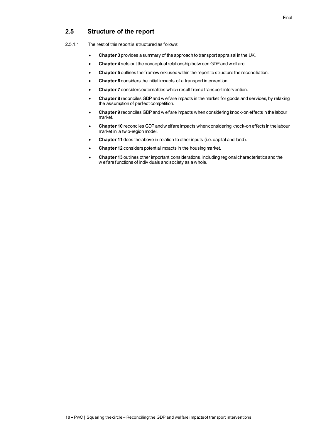## <span id="page-19-0"></span>**2.5 Structure of the report**

- 2.5.1.1 The rest of this report is structured as follows:
	- **Chapter 3** provides a summary of the approach to transport appraisal in the UK.
	- **Chapter 4** sets out the conceptual relationship betw een GDP and w elfare.
	- **Chapter 5** outlines the framew ork used within the report to structure the reconciliation.
	- **Chapter 6** considers the initial impacts of a transport intervention.
	- **Chapter 7** considers externalities which result from a transport intervention.
	- **Chapter 8** reconciles GDP and w elfare impacts in the market for goods and services, by relaxing the assumption of perfect competition.
	- **Chapter 9** reconciles GDP and w elfare impacts when considering knock-on effects in the labour market.
	- **Chapter 10** reconciles GDP and w elfare impacts when considering knock-on effects in the labour market in a tw o-region model.
	- **Chapter 11** does the above in relation to other inputs (i.e. capital and land).
	- **Chapter 12** considers potential impacts in the housing market.
	- **Chapter 13** outlines other important considerations, including regional characteristics and the w elfare functions of individuals and society as a whole.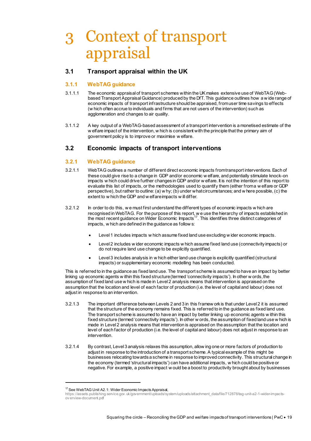## <span id="page-20-0"></span>3 Context of transport appraisal

## <span id="page-20-1"></span>**3.1 Transport appraisal within the UK**

#### **3.1.1 WebTAG guidance**

- 3.1.1.1 The economic appraisal of transport schemes within the UK makes extensive use of WebTAG (Webbased Transport Appraisal Guidance) produced by the DfT. This guidance outlines how a w ide range of economic impacts of transport infrastructure should be appraised, from user time savings to effects (w hich often accrue to individuals and firms that are not users of the intervention) such as agglomeration and changes to air quality.
- 3.1.1.2 A key output of a WebTAG-based assessment of a transport intervention is a monetised estimate of the w elfare impact of the intervention, w hich is consistent with the principle that the primary aim of government policy is to improve or maximise w elfare.

## <span id="page-20-2"></span>**3.2 Economic impacts of transport interventions**

#### <span id="page-20-3"></span>**3.2.1 WebTAG guidance**

- 3.2.1.1 WebTAG outlines a number of different direct economic impacts from transport interventions. Each of these could give rise to a change in GDP and/or economic w elfare, and potentially stimulate knock-on impacts w hich could drive further changes in GDP and/or w elfare. It is not the intention of this report to evaluate this list of impacts, or the methodologies used to quantify them (either from a w elfare or GDP perspective), but rather to outline: (a) w hy; (b) under what circumstances; and w here possible, (c) the extent to w hich the GDP and w elfare impacts w ill differ.
- 3.2.1.2 In order to do this, w e must first understand the different types of economic impacts w hich are recognised in WebTAG. For the purpose of this report, w e use the hierarchy of impacts established in the most recent guidance on Wider Economic Impacts<sup>17</sup>. This identifies three distinct categories of impacts, w hich are defined in the guidance as follow s:
	- Level 1 includes impacts w hich assume fixed land use excluding w ider economic impacts.
	- Level 2 includes w ider economic impacts w hich assume fixed land use (connectivity impacts) or do not require land use change to be explicitly quantified.
	- Level 3 includes analysis in w hich either land use change is explicitly quantified (structural impacts) or supplementary economic modelling has been conducted.

This is referred to in the guidance as fixed land use. The transport scheme is assumed to have an impact by better linking up economic agents w ithin this fixed structure (termed 'connectivity impacts'). In other w ords, the assumption of fixed land use w hich is made in Level 2 analysis means that intervention is appraised on the assumption that the location and level of each factor of production (i.e. the level of capital and labour) does not adjust in response to an intervention.

- 3.2.1.3 The important difference between Levels 2 and 3 in this framew ork is that under Level 2 it is assumed that the structure of the economy remains fixed. This is referred to in the guidance as fixed land use. The transport scheme is assumed to have an impact by better linking up economic agents w ithin this fixed structure (termed 'connectivity impacts'). In other w ords, the assumption of fixed land use w hich is made in Level 2 analysis means that intervention is appraised on the assumption that the location and level of each factor of production (i.e. the level of capital and labour) does not adjust in response to an intervention.
- 3.2.1.4 By contrast, Level 3 analysis relaxes this assumption, allow ing one or more factors of production to adjust in response to the introduction of a transport scheme. A typical example of this might be businesses relocating towards a scheme in response to improved connectivity. This structural change in the economy (termed 'structural impacts') can have additional impacts, w hich could be positive or negative. For example, a positive impact w ould be a boost to productivity brought about by businesses

<sup>&</sup>lt;sup>17</sup> See WebTAG Unit A2.1: Wider Economic Impacts Appraisal,

[https://assets.publishing.service.gov.uk/government/uploads/system/uploads/attachment\\_data/file/712878/tag-unit-a2-1-wider-impacts](https://assets.publishing.service.gov.uk/government/uploads/system/uploads/attachment_data/file/712878/tag-unit-a2-1-wider-impacts-overview-document.pdf)[ov erview-document.pdf](https://assets.publishing.service.gov.uk/government/uploads/system/uploads/attachment_data/file/712878/tag-unit-a2-1-wider-impacts-overview-document.pdf)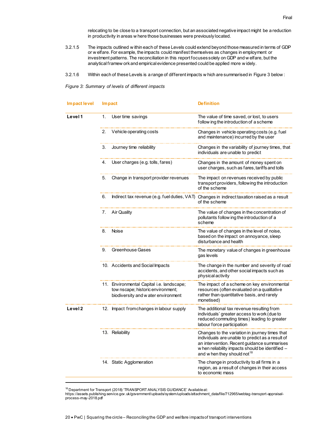relocating to be close to a transport connection, but an associated negative impact might be a reduction in productivity in areas w here those businesses were previously located.

- 3.2.1.5 The impacts outlined w ithin each of these Levels could extend beyond those measured in terms of GDP or w elfare. For example, the impacts could manifest themselves as changes in employment or investment patterns. The reconciliation in this report focuses solely on GDP and w elfare, but the analytical framew ork and empirical evidence presented could be applied more w idely.
- 3.2.1.6 Within each of these Levels is a range of different impacts w hich are summarised i[n Figure 3](#page-21-1) below :

<span id="page-21-1"></span><span id="page-21-0"></span>*Figure 3: Summary of levels of different impacts* 

| Impact level |    | <b>Impact</b>                                                                                                         | <b>Definition</b>                                                                                                                                                                                                                                |
|--------------|----|-----------------------------------------------------------------------------------------------------------------------|--------------------------------------------------------------------------------------------------------------------------------------------------------------------------------------------------------------------------------------------------|
| Level 1      | 1. | User time savings                                                                                                     | The value of time saved, or lost, to users<br>follow ing the introduction of a scheme                                                                                                                                                            |
|              | 2. | Vehicle operating costs                                                                                               | Changes in vehicle operating costs (e.g. fuel<br>and maintenance) incurred by the user                                                                                                                                                           |
|              | З. | Journey time reliability                                                                                              | Changes in the variability of journey times, that<br>individuals are unable to predict                                                                                                                                                           |
|              | 4. | User charges (e.g. tolls, fares)                                                                                      | Changes in the amount of money spent on<br>user charges, such as fares, tariffs and tolls                                                                                                                                                        |
|              | 5. | Change in transport provider revenues                                                                                 | The impact on revenues received by public<br>transport providers, following the introduction<br>of the scheme                                                                                                                                    |
|              | 6. | Indirect tax revenue (e.g. fuel duties, VAT)                                                                          | Changes in indirect taxation raised as a result<br>of the scheme                                                                                                                                                                                 |
|              | 7. | Air Quality                                                                                                           | The value of changes in the concentration of<br>pollutants follow ing the introduction of a<br>scheme                                                                                                                                            |
|              | 8. | Noise                                                                                                                 | The value of changes in the level of noise,<br>based on the impact on annoyance, sleep<br>disturbance and health                                                                                                                                 |
|              | 9. | Greenhouse Gases                                                                                                      | The monetary value of changes in greenhouse<br>gas levels                                                                                                                                                                                        |
|              |    | 10. Accidents and Social Impacts                                                                                      | The change in the number and severity of road<br>accidents, and other social impacts such as<br>physical activity                                                                                                                                |
|              |    | 11. Environmental Capital i.e. landscape;<br>tow nscape; historic environment;<br>biodiversity and w ater environment | The impact of a scheme on key environmental<br>resources (often evaluated on a qualitative<br>rather than quantitative basis, and rarely<br>monetised)                                                                                           |
| Level 2      |    | 12. Impact from changes in labour supply                                                                              | The additional tax revenue resulting from<br>individuals' greater access to work (due to<br>reduced commuting times) leading to greater<br>labour force participation                                                                            |
|              |    | 13. Reliability                                                                                                       | Changes to the variation in journey times that<br>individuals are unable to predict as a result of<br>an intervention. Recent guidance summarises<br>w hen reliability impacts should be identified -<br>and w hen they should not <sup>18</sup> |
|              |    | 14. Static Agglomeration                                                                                              | The change in productivity to all firms in a<br>region, as a result of changes in their access<br>to economic mass                                                                                                                               |

<sup>&</sup>lt;sup>18</sup> Department for Transport (2018) 'TRANSPORT ANALYSIS GUIDANCE' Available at:

-

[https://assets.publishing.service.gov.uk/government/uploads/system/uploads/attachment\\_data/file/712965/webtag-transport-appraisal](https://assets.publishing.service.gov.uk/government/uploads/system/uploads/attachment_data/file/712965/webtag-transport-appraisal-process-may-2018.pdf)[process-may-2018.pdf](https://assets.publishing.service.gov.uk/government/uploads/system/uploads/attachment_data/file/712965/webtag-transport-appraisal-process-may-2018.pdf)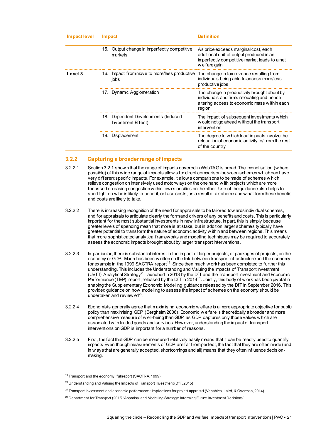| Impact level | Im pact |                                                           | Definition                                                                                                                                          |  |
|--------------|---------|-----------------------------------------------------------|-----------------------------------------------------------------------------------------------------------------------------------------------------|--|
|              |         | 15. Output change in imperfectly competitive<br>markets   | As price exceeds marginal cost, each<br>additional unit of output produced in an<br>imperfectly competitive market leads to a net<br>w elfare gain  |  |
| Level 3      |         | 16. Impact from move to more/less productive<br>jobs      | The change in tax revenue resulting from<br>individuals being able to access more/less<br>productive jobs                                           |  |
|              |         | 17. Dynamic Agglomeration                                 | The change in productivity brought about by<br>individuals and firms relocating and hence<br>altering access to economic mass within each<br>region |  |
|              |         | 18. Dependent Developments (Induced<br>Investment Effect) | The impact of subsequent investments which<br>w ould not go ahead w ithout the transport<br>intervention                                            |  |
|              |         | 19. Displacement                                          | The degree to w hich local impacts involve the<br>relocation of economic activity to/from the rest<br>of the country                                |  |

#### **3.2.2 Capturing a broader range of impacts**

- 3.2.2.1 Sectio[n 3.2.1](#page-20-3) show s that the range of impacts covered in WebTAG is broad. The monetisation (w here possible) of this w ide range of impacts allow s for direct comparison between schemes which can have very different specific impacts. For example, it allow s comparisons to be made of schemes w hich relieve congestion on intensively used motorw ays on the one hand w ith projects which are more focussed on easing congestion within towns or cities on the other. Use of the guidance also helps to shed light on w ho is likely to benefit, or face costs, as a result of a scheme and w hat form these benefits and costs are likely to take.
- 3.2.2.2 There is increasing recognition of the need for appraisals to be tailored tow ards individual schemes, and for appraisals to articulate clearly the form and drivers of any benefits and costs. This is particularly important for the most substantial investments in new infrastructure. In part, this is simply because greater levels of spending mean that more is at stake, but in addition larger schemes typically have greater potential to transform the nature of economic activity w ithin and between regions. This means that more sophisticated analytical frameworks and modelling techniques may be required to accurately assess the economic impacts brought about by larger transport interventions.
- 3.2.2.3 In particular, there is substantial interest in the impact of larger projects, or packages of projects, on the economy or GDP. Much has been w ritten on the link betw een transport infrastructure and the economy, for example in the 1999 SACTRA report<sup>19</sup>. Since then much w ork has been completed to further this understanding. This includes the Understanding and Valuing the Impacts of Transport Investment (UVITI) Analytical Strategy<sup>20</sup>, launched in 2013 by the DfT and the Transport Investment and Economic Performance (TIEP) report, released by the DfT in 2014<sup>21</sup>. Jointly, this body of w ork has been pivotal in shaping the Supplementary Economic Modelling guidance released by the DfT in September 2016. This provided guidance on how modelling to assess the impact of schemes on the economy should be undertaken and review  $ed^{22}$ .
- 3.2.2.4 Economists generally agree that maximising economic w elfare is a more appropriate objective for public policy than maximising GDP (Bergheim,2006). Economic w elfare is theoretically a broader and more comprehensive measure of w ell-being than GDP, as GDP captures only those values which are associated with traded goods and services. However, understanding the impact of transport interventions on GDP is important for a number of reasons.
- 3.2.2.5 First, the fact that GDP can be measured relatively easily means that it can be readily used to quantify impacts Even though measurements of GDP are far from perfect, the fact that they are often made (and in w ays that are generally accepted, shortcomings and all) means that they often influence decisionmaking.

<sup>&</sup>lt;sup>19</sup> Transport and the economy: full report (SACTRA, 1999)

 $^{20}$  Understanding and Valuing the Impacts of Transport Investment (DfT, 2015)

<sup>&</sup>lt;sup>21</sup> Transport inv estment and economic performance: Implications for project appraisal (Venables, Laird, & Overman, 2014)

 $^{22}$  Department for Transport (2018) 'Appraisal and Modelling Strategy: Informing Future Investment Decisions'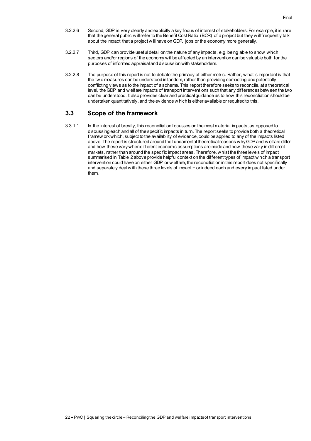- 3.2.2.6 Second, GDP is very clearly and explicitly a key focus of interest of stakeholders. For example, it is rare that the general public w ill refer to the Benefit Cost Ratio (BCR) of a project but they w ill frequently talk about the impact that a project w ill have on GDP, jobs or the economy more generally.
- 3.2.2.7 Third, GDP can provide useful detail on the nature of any impacts, e.g. being able to show which sectors and/or regions of the economy will be affected by an intervention can be valuable both for the purposes of informed appraisal and discussion with stakeholders.
- 3.2.2.8 The purpose of this report is not to debate the primacy of either metric. Rather, w hat is important is that the tw o measures can be understood in tandem, rather than providing competing and potentially conflicting views as to the impact of a scheme. This report therefore seeks to reconcile, at a theoretical level, the GDP and w elfare impacts of transport interventions such that any differences between the two can be understood. It also provides clear and practical guidance as to how this reconciliation should be undertaken quantitatively, and the evidence w hich is either available or required to this.

## <span id="page-23-0"></span>**3.3 Scope of the framework**

3.3.1.1 In the interest of brevity, this reconciliation focusses on the most material impacts, as opposed to discussing each and all of the specific impacts in turn. The report seeks to provide both a theoretical framew ork which, subject to the availability of evidence, could be applied to any of the impacts listed above. The report is structured around the fundamental theoretical reasons why GDP and w elfare differ, and how these vary when different economic assumptions are made and how these vary in different markets, rather than around the specific impact areas. Therefore, whilst the three levels of impact summarised in Table 2 above provide helpful context on the different types of impact w hich a transport intervention could have on either GDP or w elfare, the reconciliation in this report does not specifically and separately deal w ith these three levels of impact − or indeed each and every impact listed under them.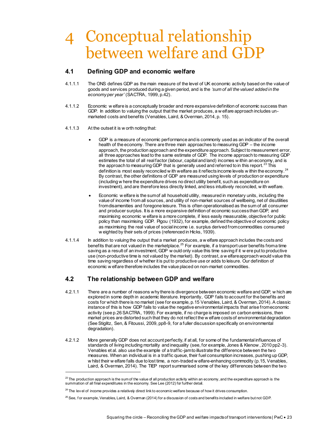## <span id="page-24-3"></span><span id="page-24-0"></span>4 Conceptual relationship between welfare and GDP

## <span id="page-24-1"></span>**4.1 Defining GDP and economic welfare**

- 4.1.1.1 The ONS defines GDP as the main measure of the level of UK economic activity based on the value of goods and services produced during a given period, and is the *'sum of all the valued added in the economy per year'* (SACTRA, 1999, p.42).
- 4.1.1.2 Economic w elfare is a conceptually broader and more expansive definition of economic success than GDP. In addition to valuing the output that the market produces, a w elfare approach includes unmarketed costs and benefits (Venables, Laird, & Overman, 2014, p. 15).
- 4.1.1.3 At the outset it is w orth noting that:
	- GDP is a measure of economic performance and is commonly used as an indicator of the overall health of the economy. There are three main approaches to measuring GDP – the income approach, the production approach and the expenditure approach. Subject to measurement error, all three approaches lead to the same estimate of GDP. The income approach to measuring GDP estimates the total of all real factor (labour, capital and land) incomes w ithin an economy, and is the approach to measuring GDP that is generally used and referred to in this report.<sup>23</sup> This definition is most easily reconciled w ith welfare as it reflects income levels w ithin the economy.<sup>24</sup> By contrast, the other definitions of GDP are measured using levels of production or expenditure (including w here the expenditure drives no direct utility benefit, such as expenditure on investment), and are therefore less directly linked, and less intuitively reconciled, w ith welfare.
	- Economic w elfare is the sum of all household utility, measured in monetary units, including the value of income from all sources, and utility of non-market sources of wellbeing, net of disutilities from disamenities and foregone leisure. This is often operationalised as the sum of all consumer and producer surplus. It is a more expansive definition of economic success than GDP, and maximising economic w elfare is a more complete, if less easily measurable, objective for public policy than maximising GDP. Pigou (1932), for example, defined the objective of economic policy as maximising the real value of social income i.e. surplus derived from commodities consumed w eighted by their sets of prices (referenced in Hicks, 1939).
- 4.1.1.4 In addition to valuing the output that a market produces, a w elfare approach includes the costs and benefits that are not valued in the marketplace. $^{25}$  For example, if a transport user benefits from a time saving as a result of an investment, GDP w ould only value this time saving if it w ere put to productive use (non-productive time is not valued by the market). By contrast, a w elfare approach would value this time saving regardless of whether it is put to productive use or adds to leisure. Our definition of economic w elfare therefore includes the value placed on non-market commodities.

## <span id="page-24-2"></span>**4.2 The relationship between GDP and welfare**

- 4.2.1.1 There are a number of reasons why there is divergence between economic welfare and GDP, w hich are explored in some depth in academic literature. Importantly, GDP fails to account for the benefits and costs for which there is no market (see for example, p.15 Venables, Laird, & Overman, 2014). A classic instance of this is how GDP fails to value the negative environmental impacts that arise from economic activity (see p.26 SACTRA, 1999). For example, if no charge is imposed on carbon emissions, then market prices are distorted such that they do not reflect the w elfare costs of environmental degradation (See Stiglitz, Sen, & Fitoussi, 2009, pp8-9, for a fuller discussion specifically on environmental degradation).
- 4.2.1.2 More generally GDP does not account perfectly, if at all, for some of the fundamental influences of standards of living including mortality and inequality (see, for example, Jones & Klenow , 2010 pp2-3). Venables et al. also use the example of a traffic-jam to illustrate the difference between the two measures. When an individual is in a traffic queue, their fuel consumption increases, pushing up GDP, w hilst their w elfare falls due to lost time, a non-traded w elfare-enhancing commodity (p.15, Venables, Laird, & Overman, 2014)*.* The TIEP report summarised some of the key differences between the two

 $^{23}$  The production approach is the sum of the value of all production activity within an economy, and the expenditure approach is the summation of all final expenditures in the economy. See Lee (2012) for further detail.

 $^{24}$  The lev el of income provides a relatively direct link to economic welfare because of how it drives consumption.

 $^{25}$  See, for example, Venables, Laird, & Overman (2014) for a discussion of costs and benefits included in welfare but not GDP.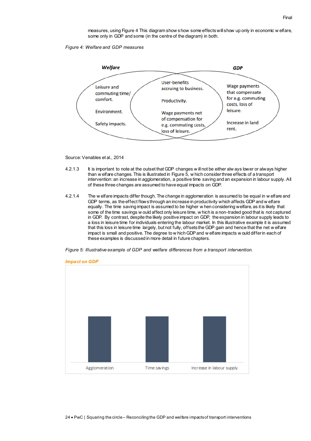measures, usin[g Figure 4](#page-25-2) This diagram show s how some effects will show up only in economic w elfare, some only in GDP and some (in the centre of the diagram) in both.

<span id="page-25-2"></span><span id="page-25-0"></span>*Figure 4: Welfare and GDP measures*



Source: Venables et al., 2014

- 4.2.1.3 It is important to note at the outset that GDP changes w ill not be either alw ays lower or always higher than w elfare changes. This is illustrated in [Figure 5,](#page-25-3) w hich consider three effects of a transport intervention: an increase in agglomeration, a positive time saving and an expansion in labour supply. All of these three changes are assumed to have equal impacts on GDP.
- 4.2.1.4 The w elfare impacts differ though. The change in agglomeration is assumed to be equal in w elfare and GDP terms, as the effect flows through an increase in productivity which affects GDP and w elfare equally. The time saving impact is assumed to be higher w hen considering welfare, as it is likely that some of the time savings w ould affect only leisure time, w hich is a non-traded good that is not captured in GDP. By contrast, despite the likely positive impact on GDP, the expansion in labour supply leads to a loss in leisure time for individuals entering the labour market. In this illustrative example it is assumed that this loss in leisure time largely, but not fully, offsets the GDP gain and hence that the net w elfare impact is small and positive. The degree to w hich GDP and w elfare impacts w ould differ in each of these examples is discussed in more detail in future chapters.

<span id="page-25-3"></span><span id="page-25-1"></span>



*Impact on GDP*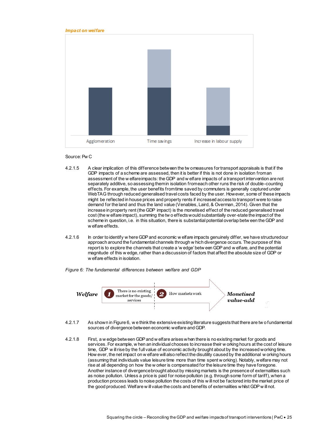#### *Impact on welfare*



#### Source: Pw C

- 4.2.1.5 A clear implication of this difference between the tw o measures for transport appraisals is that if the GDP impacts of a scheme are assessed, then it is better if this is not done in isolation from an assessment of the w elfare impacts: the GDP and w elfare impacts of a transport intervention are not separately additive, so assessing them in isolation from each other runs the risk of double-counting effects. For example, the user benefits from time saved by commuters is generally captured under WebTAG through reduced generalised travel costs faced by the user. However, some of these impacts might be reflected in house prices and property rents if increased access to transport were to raise demand for the land and thus the land value (Venables, Laird, & Overman, 2014). Given that the increase in property rent (the GDP impact) is the monetised effect of the reduced generalised travel cost (the w elfare impact), summing the tw o effects would substantially over-state the impact of the scheme in question, i.e. in this situation, there is substantial potential overlap betw een the GDP and w elfare effects.
- 4.2.1.6 In order to identify w here GDP and economic w elfare impacts genuinely differ, we have structured our approach around the fundamental channels through w hich divergence occurs. The purpose of this report is to explore the channels that create a 'w edge' betw een GDP and w elfare, and the potential magnitude of this w edge, rather than a discussion of factors that affect the absolute size of GDP or w elfare effects in isolation.

<span id="page-26-1"></span><span id="page-26-0"></span>*Figure 6: The fundamental differences between welfare and GDP*



- 4.2.1.7 As shown i[n Figure 6,](#page-26-1) w e think the extensive existing literature suggests that there are tw o fundamental sources of divergence between economic welfare and GDP.
- 4.2.1.8 First, a w edge between GDP and w elfare arises when there is no existing market for goods and services. For example, w hen an individual chooses to increase their w orking hours at the cost of leisure time, GDP w ill rise by the full value of economic activity brought about by the increased working time. How ever, the net impact on w elfare will also reflect the disutility caused by the additional w orking hours (assuming that individuals value leisure time more than time spent w orking). Notably, welfare may not rise at all depending on how the w orker is compensated for the leisure time they have foregone. Another instance of divergence brought about by missing markets is the presence of externalities such as noise pollution. Unless a price is paid for noise pollution (e.g. through some form of tariff), when a production process leads to noise pollution the costs of this w ill not be factored into the market price of the good produced. Welfare w ill value the costs and benefits of externalities whilst GDP w ill not.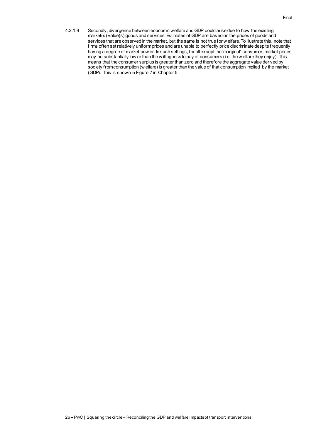4.2.1.9 Secondly, divergence between economic welfare and GDP could arise due to how the existing market(s) value(s) goods and services. Estimates of GDP are based on the prices of goods and services that are observed in the market, but the same is not true for w elfare. To illustrate this, note that firms often set relatively uniform prices and are unable to perfectly price discriminate despite frequently having a degree of market pow er. In such settings, for all except the 'marginal' consumer, market prices may be substantially low er than the w illingness to pay of consumers (i.e. the w elfare they enjoy). This means that the consumer surplus is greater than zero and therefore the aggregate value derived by society from consumption (w elfare) is greater than the value of that consumption implied by the market (GDP). This is shown i[n Figure 7](#page-29-2) in Chapte[r 5.](#page-28-0)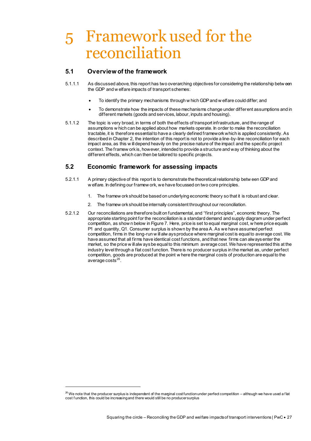## <span id="page-28-0"></span>5 Framework used for the reconciliation

## <span id="page-28-1"></span>**5.1 Overview of the framework**

-

- 5.1.1.1 As discussed above, this report has two overarching objectives for considering the relationship betw een the GDP and w elfare impacts of transport schemes:
	- To identify the primary mechanisms through w hich GDP and w elfare could differ; and
	- To demonstrate how the impacts of these mechanisms change under different assumptions and in different markets (goods and services, labour, inputs and housing).
- 5.1.1.2 The topic is very broad, in terms of both the effects of transport infrastructure, and the range of assumptions w hich can be applied about how markets operate. In order to make the reconciliation tractable, it is therefore essential to have a clearly defined framework which is applied consistently. As described in Chapter 2, the intention of this report is not to provide a line-by-line reconciliation for each impact area, as this w ill depend heavily on the precise nature of the impact and the specific project context. The framew ork is, however, intended to provide a structure and way of thinking about the different effects, which can then be tailored to specific projects.

## <span id="page-28-2"></span>**5.2 Economic framework for assessing impacts**

- 5.2.1.1 A primary objective of this report is to demonstrate the theoretical relationship betw een GDP and w elfare. In defining our framew ork, we have focussed on two core principles.
	- 1. The framew ork should be based on underlying economic theory so that it is robust and clear.
	- 2. The framew ork should be internally consistent throughout our reconciliation.
- 5.2.1.2 Our reconciliations are therefore built on fundamental, and "first principles", economic theory. The appropriate starting point for the reconciliation is a standard demand and supply diagram under perfect competition, as show n below in [Figure 7.](#page-29-2) Here, price is set to equal marginal cost, w here price equals P1 and quantity, Q1. Consumer surplus is shown by the area A. As we have assumed perfect competition, firms in the long-run w ill alw ays produce where marginal cost is equal to average cost. We have assumed that all firms have identical cost functions, and that new firms can always enter the market, so the price w ill alw ays be equal to this minimum average cost. We have represented this at the industry level through a flat cost function. There is no producer surplus in the market as, under perfect competition, goods are produced at the point w here the marginal costs of production are equal to the average  $\cos$ ts $^{26}$ .

 $^{26}$  We note that the producer surplus is independent of the marginal cost function under perfect competition – although we have used a flat cost f unction, this could be increasing and there would still be no producer surplus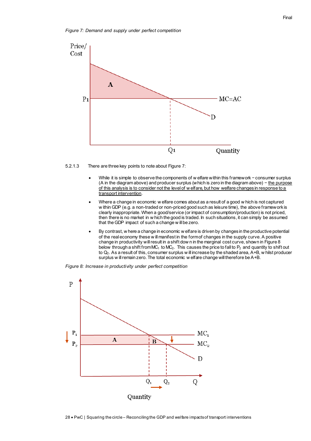<span id="page-29-2"></span><span id="page-29-0"></span>*Figure 7: Demand and supply under perfect competition*





- While it is simple to observe the components of w elfare within this framework − consumer surplus (A in the diagram above) and producer surplus (which is zero in the diagram above) − the purpose of this analysis is to consider not the level of w elfare, but how welfare changes in response to a transport intervention.
- Where a change in economic w elfare comes about as a result of a good w hich is not captured w ithin GDP (e.g. a non-traded or non-priced good such as leisure time), the above framework is clearly inappropriate. When a good/service (or impact of consumption/production) is not priced, then there is no market in w hich the good is traded. In such situations, it can simply be assumed that the GDP impact of such a change w ill be zero.
- By contrast, w here a change in economic w elfare is driven by changes in the productive potential of the real economy these w ill manifest in the form of changes in the supply curve. A positive change in productivity will result in a shift dow n in the marginal cost curve, shown i[n Figure 8](#page-29-3) below through a shift from  $MC_1$  to  $MC_2$ . This causes the price to fall to  $P_2$  and quantity to shift out to Q2. As a result of this, consumer surplus w ill increase by the shaded area, A+B, w hilst producer surplus w ill remain zero. The total economic w elfare change will therefore be A+B.

<span id="page-29-3"></span><span id="page-29-1"></span>*Figure 8: Increase in productivity under perfect competition*



28 PwC | Squaring the circle – Reconciling the GDP and welfare impacts of transport interventions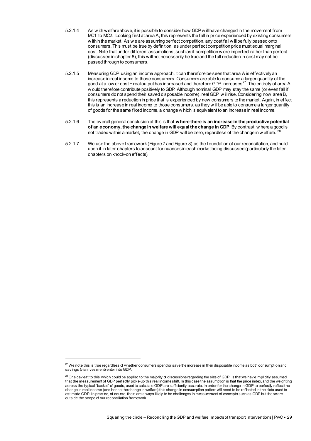- 5.2.1.4 As w ith welfare above, it is possible to consider how GDP w ill have changed in the movement from MC1 to MC2. Looking first at area A, this represents the fall in price experienced by existing consumers w ithin the market. As w e are assuming perfect competition, any cost fall w ill be fully passed onto consumers. This must be true by definition, as under perfect competition price must equal marginal cost. Note that under different assumptions, such as if competition w ere imperfect rather than perfect (discussed in chapte[r 8\)](#page-35-0), this w ill not necessarily be true and the full reduction in cost may not be passed through to consumers.
- 5.2.1.5 Measuring GDP using an income approach, it can therefore be seen that area A is effectively an increase in real income to those consumers. Consumers are able to consume a larger quantity of the good at a low er cost – real output has increased and therefore GDP increases<sup>27</sup>. The entirety of area A w ould therefore contribute positively to GDP. Although nominal GDP may stay the same (or even fall if consumers do not spend their saved disposable income), real GDP will rise. Considering now area B, this represents a reduction in price that is experienced by new consumers to the market. Again, in effect this is an increase in real income to those consumers, as they w ill be able to consume a larger quantity of goods for the same fixed income, a change w hich is equivalent to an increase in real income.
- 5.2.1.6 The overall general conclusion of this is that **where there is an increase in the productive potential of an economy, the change in welfare will equal the change in GDP**. By contrast, w here a good is not traded w ithin a market, the change in GDP will be zero, regardless of the change in w elfare. <sup>28</sup>
- 5.2.1.7 We use the above framewor[k \(Figure 7](#page-29-2) an[d Figure 8\)](#page-29-3) as the foundation of our reconciliation, and build upon it in later chapters to account for nuances in each market being discussed (particularly the later chapters on knock-on effects).

 $^{27}$  We note this is true regardless of whether consumers spend or save the increase in their disposable income as both consumption and sav ings (via investment) enter into GDP.

 $^{28}$  One cav eat to this, which could be applied to the majority of discussions regarding the size of GDP, is that we hav e implicitly assumed that the measurement of GDP perfectly picks-up this real income shift. In this case the assumption is that the price index, and the weighting across the typical "basket" of goods, used to calculate GDP are sufficiently accurate. In order for the change in GDP to perfectly reflect t he change in real income (and hence the change in welfare) this change in consumption pattern will need to be ref lected in the data used to estimate GDP. In practice, of course, there are always likely to be challenges in measurement of concepts such as GDP but these are outside the scope of our reconciliation framework.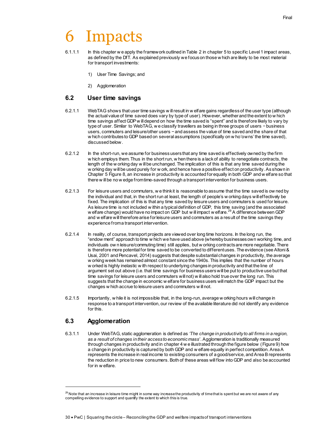# <span id="page-31-0"></span>**Impacts**

- 6.1.1.1 In this chapter w e apply the framework outlined in Table 2 in chapte[r 5](#page-28-0) to specific Level 1 impact areas, as defined by the DfT. As explained previously we focus on those w hich are likely to be most material for transport investments:
	- 1) User Time Savings; and
	- 2) Agglomeration

### <span id="page-31-1"></span>**6.2 User time savings**

- 6.2.1.1 WebTAG shows that user time savings w ill result in w elfare gains regardless of the user type (although the actual value of time saved does vary by type of user). However, whether and the extent to w hich time savings affect GDP w ill depend on how the time saved is "spent" and is therefore likely to vary by type of user. Similar to WebTAG, w e classify travellers as being in three groups of users − business users, commuters and leisure/other users − and assess the value of time saved and the share of that w hich contributes to GDP based on several assumptions (specifically on w ho 'owns' the time saved), discussed below.
- 6.2.1.2 In the short-run, we assume for business users that any time saved is effectively owned by the firm w hich employs them. Thus in the short run, w hen there is a lack of ability to renegotiate contracts, the length of the w orking day w ill be unchanged. The implication of this is that any time saved during the w orking day will be used purely for w ork, and hence have a positive effect on productivity. As shown in Chapte[r 5](#page-28-0) [Figure 8,](#page-29-3) an increase in productivity is accounted for equally in both GDP and w elfare so that there w ill be no w edge from time-saved through a transport intervention for business users.
- 6.2.1.3 For leisure users and commuters, w e think it is reasonable to assume that the time saved is ow ned by the individual and that, in the short run at least, the length of people's w orking days will effectively be fixed. The implication of this is that any time saved by leisure users and commuters is used for leisure. As leisure time is not included w ithin a typical definition of GDP, this time saving (and the associated welfare change) would have no impact on GDP but w ill impact w elfare.<sup>29</sup> A difference between GDP and w elfare will therefore arise for leisure users and commuters as a result of the time savings they experience from a transport intervention.
- 6.2.1.4 In reality, of course, transport projects are viewed over long time horizons. In the long run, the "endow ment" approach to time w hich we have used above (whereby businesses own working time, and individuals ow n leisure/commuting time) still applies, but w orking contracts are more negotiable. There is therefore more potential for time saved to be converted to different uses. The evidence (see Altoni & Usai, 2001 and Pencavel, 2014) suggests that despite substantial changes in productivity, the average w orking week has remained almost constant since the 1940s. This implies that the number of hours w orked is highly inelastic w ith respect to underlying changes in productivity and that the line of argument set out above (i.e. that time savings for business users will be put to productive use but that time savings for leisure users and commuters will not) w ill also hold true over the long run. This suggests that the change in economic w elfare for business users will match the GDP impact but the changes w hich accrue to leisure users and commuters w ill not.
- 6.2.1.5 Importantly, w hile it is not impossible that, in the long-run, average w orking hours will change in response to a transport intervention, our review of the available literature did not identify any evidence for this.

## <span id="page-31-2"></span>**6.3 Agglomeration**

-

6.3.1.1 Under WebTAG, static agglomeration is defined as *'The change in productivity to all firms in a region, as a result of changes in their access to economic mass'*. Agglomeration is traditionally measured through changes in productivity and in chapter 4 w e illustrated through the figure below [\(Figure 9\)](#page-32-1) how a change in productivity is captured by both GDP and w elfare equally in perfect competition. Area A represents the increase in real income to existing consumers of a good/service, and Area B represents the reduction in price to new consumers. Both of these areas will flow into GDP and also be accounted for in w elfare.

 $^{29}$  Note that an increase in leisure time might in some way increase the productivity of time that is spent but we are not aware of any compelling evidence to support and quantify the extent to which this is true.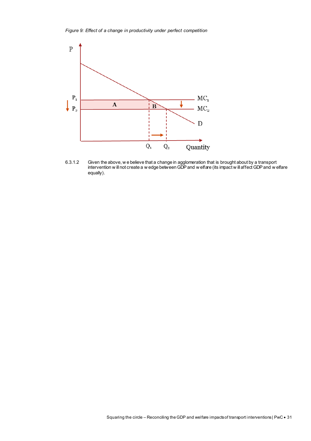<span id="page-32-1"></span><span id="page-32-0"></span>*Figure 9: Effect of a change in productivity under perfect competition* 



6.3.1.2 Given the above, w e believe that a change in agglomeration that is brought about by a transport intervention w ill not create a w edge between GDP and w elfare (its impact w ill affect GDP and w elfare equally).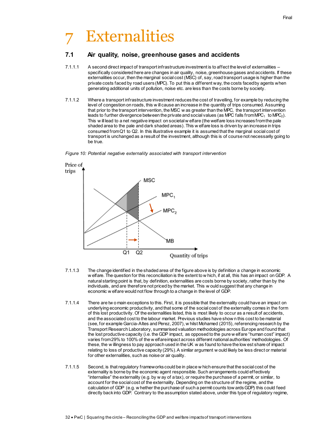# <span id="page-33-0"></span>**Externalities**

## <span id="page-33-1"></span>**7.1 Air quality, noise, greenhouse gases and accidents**

- 7.1.1.1 A second direct impact of transport infrastructure investment is to affect the level of externalities specifically considered here are changes in air quality, noise, greenhouse gases and accidents. If these externalities occur, then the marginal social cost (MSC) of, say, road transport usage is higher than the private costs faced by road users (MPC). To put this a different way, the costs faced by agents when generating additional units of pollution, noise etc. are less than the costs borne by society.
- 7.1.1.2 Where a transport infrastructure investment reduces the cost of travelling, for example by reducing the level of congestion on roads, this w ill cause an increase in the quantity of trips consumed. Assuming that prior to the transport intervention, the MSC w as greater than the MPC, the transport intervention leads to further divergence between the private and social values (as MPC falls from MPC $_1$  to MPC<sub>2</sub>). This w ill lead to a net negative impact on societal w elfare (the welfare loss increases from the pale shaded area to the pale and dark shaded areas). This w elfare loss is driven by an increase in trips consumed from Q1 to Q2. In this illustrative example it is assumed that the marginal social cost of transport is unchanged as a result of the investment, although this is of course not necessarily going to be true.

<span id="page-33-2"></span>



- 7.1.1.3 The change identified in the shaded area of the figure above is by definition a change in economic w elfare. The question for this reconciliation is the extent to w hich, if at all, this has an impact on GDP. A natural starting point is that, by definition, externalities are costs borne by society, rather than by the individuals, and are therefore not priced by the market. This w ould suggest that any change in economic w elfare would not flow through to a change in the level of GDP.
- 7.1.1.4 There are tw o main exceptions to this. First, it is possible that the externality could have an impact on underlying economic productivity, and that some of the social cost of the externality comes in the form of this lost productivity. Of the externalities listed, this is most likely to occur as a result of accidents, and the associated cost to the labour market. Previous studies have show n this cost to be material (see, for example Garcia-Altes and Perez, 2007), w hilst Mohamed (2015), referencing research by the Transport Research Laboratory, summarised valuation methodologies across Europe and found that the lost productive capacity (i.e. the GDP impact, as opposed to the pure w elfare "human cost" impact) varies from 29% to 100% of the w elfare impact across different national authorities' methodologies. Of these, the w illingness to pay approach used in the UK w as found to have the low est share of impact relating to loss of productive capacity (29%). A similar argument w ould likely be less direct or material for other externalities, such as noise or air quality.
- 7.1.1.5 Second, is that regulatory frameworks could be in place w hich ensure that the social cost of the externality is borne by the economic agent responsible. Such arrangements could effectively "internalise" the externality (e.g. by w ay of a tax), or require the purchase of a permit, or similar, to account for the social cost of the externality. Depending on the structure of the regime, and the calculation of GDP (e.g. w hether the purchase of such a permit counts tow ards GDP) this could feed directly back into GDP. Contrary to the assumption stated above, under this type of regulatory regime,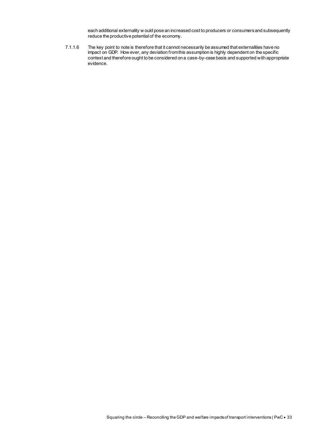each additional externality w ould pose an increased cost to producers or consumers and subsequently reduce the productive potential of the economy.

7.1.1.6 The key point to note is therefore that it cannot necessarily be assumed that externalities have no impact on GDP. How ever, any deviation from this assumption is highly dependent on the specific context and therefore ought to be considered on a case-by-case basis and supported with appropriate evidence.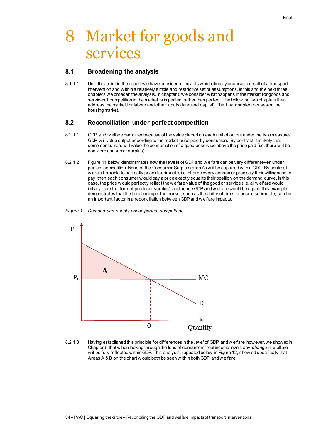## <span id="page-35-0"></span>8 Market for goods and services

### <span id="page-35-1"></span>**8.1 Broadening the analysis**

8.1.1.1 Until this point in the report w e have considered impacts which directly occur as a result of a transport intervention and w ithin a relatively simple and restrictive set of assumptions. In this and the next three chapters we broaden the analysis. In chapter 8 w e consider what happens in the market for goods and services if competition in the market is imperfect rather than perfect. The follow ing two chapters then address the market for labour and other inputs (land and capital). The final chapter focuses on the housing market.

### <span id="page-35-2"></span>**8.2 Reconciliation under perfect competition**

- 8.2.1.1 GDP and w elfare can differ because of the value placed on each unit of output under the tw o measures. GDP w ill value output according to the market price paid by consumers. By contrast, it is likely that some consumers w ill value the consumption of a good or service above the price paid (i.e. there w ill be non-zero consumer surplus).
- 8.2.1.2 [Figure 11](#page-35-4) below demonstrates how the levels of GDP and w elfare can be very different even under perfect competition. None of the Consumer Surplus (area A) w ill be captured within GDP. By contrast, w ere a firm able to perfectly price discriminate, i.e. charge every consumer precisely their willingness to pay, then each consumer w ould pay a price exactly equal to their position on the demand curve. In this case, the price w ould perfectly reflect the welfare value of the good or service (i.e. all w elfare would initially take the form of producer surplus), and hence GDP and w elfare would be equal. This example demonstrates that the functioning of the market, such as the ability of firms to price discriminate, can be an important factor in a reconciliation betw een GDP and w elfare impacts.

<span id="page-35-4"></span><span id="page-35-3"></span>



8.2.1.3 Having established this principle for differences in the *level* of GDP and w elfare, however, we showed in Chapte[r 5](#page-28-0) that w hen looking through the lens of consumers' real income levels any *change* in w elfare w ill be fully reflected w ithin GDP. This analysis, repeated belowi[n Figure 12,](#page-36-2) show ed specifically that Areas A & B on the chart w ould both be seen w ithin both GDP and w elfare.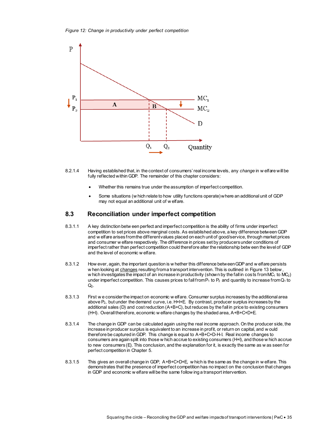<span id="page-36-2"></span><span id="page-36-1"></span>*Figure 12: Change in productivity under perfect competition*



- 8.2.1.4 Having established that, in the context of consumers' real income levels, any *change* in w elfare will be fully reflected within GDP. The remainder of this chapter considers:
	- Whether this remains true under the assumption of imperfect competition.
	- Some situations (w hich relate to how utility functions operate) where an additional unit of GDP may not equal an additional unit of w elfare.

### <span id="page-36-0"></span>**8.3 Reconciliation under imperfect competition**

- 8.3.1.1 A key distinction betw een perfect and imperfect competition is the ability of firms under imperfect competition to set prices above marginal costs. As established above, a key difference between GDP and w elfare arises from the different values placed on each unit of good/service, through market prices and consumer w elfare respectively. The difference in prices set by producers under conditions of imperfect rather than perfect competition could therefore alter the relationship betw een the level of GDP and the level of economic w elfare.
- 8.3.1.2 How ever, again, the important question is w hether this difference between GDP and w elfare persists w hen looking at changes resulting from a transport intervention. This is outlined i[n Figure 13](#page-37-2) below w hich investigates the impact of an increase in productivity (shown by the fall in costs from  $MC_1$  to  $MC_2$ ) under imperfect competition. This causes prices to fall from  $P_1$  to  $P_2$  and quantity to increase from  $Q_1$  to  $Q<sub>2</sub>$ .
- 8.3.1.3 First w e consider the impact on economic w elfare. Consumer surplus increases by the additional area above P2, but under the demand curve, i.e. H+I+E. By contrast, producer surplus increases by the additional sales (D) and cost reduction (A+B+C), but reduces by the fall in price to existing consumers (H+I). Overall therefore, economic w elfare changes by the shaded area, A+B+C+D+E.
- 8.3.1.4 The change in GDP can be calculated again using the real income approach. On the producer side, the increase in producer surplus is equivalent to an increase in profit, or return on capital, and w ould therefore be captured in GDP. This change is equal to A+B+C+D-H-I. Real income changes to consumers are again split into those w hich accrue to existing consumers (H+I), and those w hich accrue to new consumers (E). This conclusion, and the explanation for it, is exactly the same as w as seen for perfect competition in Chapte[r 5.](#page-28-0)
- 8.3.1.5 This gives an overall change in GDP, A+B+C+D+E, w hich is the same as the change in w elfare. This demonstrates that the presence of imperfect competition has no impact on the conclusion that changes in GDP and economic w elfare will be the same follow ing a transport intervention.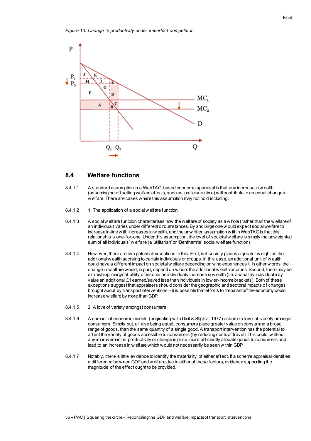<span id="page-37-2"></span><span id="page-37-1"></span>

#### <span id="page-37-0"></span>**8.4 Welfare functions**

- 8.4.1.1 A standard assumption in a WebTAG-based economic appraisal is that any increase in w ealth (assuming no offsetting welfare effects, such as lost leisure time) w ill contribute to an equal change in w elfare. There are cases where this assumption may not hold including:
- 8.4.1.2 1. The application of a social w elfare function
- 8.4.1.3 A social w elfare function characterises how the welfare of society as a w hole (rather than the w elfare of an individual) varies under different circumstances. By and large one w ould expect social welfare to increase in-line w ith increases in w ealth, and the unw ritten assumption w ithin WebTAG is that this relationship is one-for-one. Under this assumption, the level of societal w elfare is simply the unw eighted sum of all individuals' w elfare (a 'utilitarian' or 'Benthamite' social w elfare function).
- 8.4.1.4 How ever, there are two potential exceptions to this. First, is if society places a greater w eight on the additional w ealth accruing to certain individuals or groups. In this case, an additional unit of w ealth could have a different impact on societal w elfare depending on w ho experiences it. In other w ords, the change in w elfare would, in part, depend on w here the additional w ealth accrues. Second, there may be diminishing marginal utility of income as individuals increase in w ealth (i.e. a w ealthy individual may value an additional £1 earned/saved less than individuals in low er-income brackets). Both of these exceptions suggest that appraisers should consider the geographic and sectoral impacts of changes brought about by transport interventions – it is possible that efforts to "rebalance" the economy could increase w elfare by more than GDP.
- 8.4.1.5 2. A love of variety amongst consumers
- 8.4.1.6 A number of economic models (originating w ith Dixit & Stiglitz, 1977) assume a love-of-variety amongst consumers. Simply put, all else being equal, consumers place greater value on consuming a broad range of goods, than the same quantity of a single good. A transport intervention has the potential to affect the variety of goods accessible to consumers (by reducing costs of travel). This could, w ithout any improvement in productivity or change in price, more efficiently allocate goods to consumers and lead to an increase in w elfare which would not necessarily be seen within GDP.
- 8.4.1.7 Notably, there is little evidence to identify the materiality of either effect. If a scheme appraisal identifies a difference between GDP and w elfare due to either of these factors, evidence supporting the magnitude of the effect ought to be provided.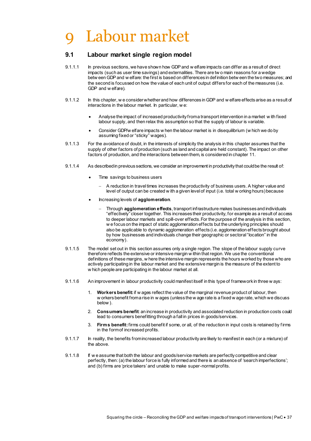# <span id="page-38-2"></span><span id="page-38-0"></span>Labour market

### <span id="page-38-1"></span>**9.1 Labour market single region model**

- 9.1.1.1 In previous sections, we have shown how GDP and w elfare impacts can differ as a result of direct impacts (such as user time savings) and externalities. There are tw o main reasons for a wedge betw een GDP and w elfare: the first is based on differences in def inition betw een the two measures; and the second is focussed on how the value of each unit of output differs for each of the measures (i.e. GDP and w elfare).
- 9.1.1.2 In this chapter, we consider whether and how differences in GDP and w elfare effects arise as a result of interactions in the labour market. In particular, w e:
	- Analyse the impact of increased productivity from a transport intervention in a market w ith fixed labour supply, and then relax this assumption so that the supply of labour is variable.
	- Consider GDP/w elfare impacts w hen the labour market is in disequilibrium (w hich we do by assuming fixed or "sticky" wages).
- 9.1.1.3 For the avoidance of doubt, in the interests of simplicity the analysis in this chapter assumes that the supply of other factors of production (such as land and capital are held constant). The impact on other factors of production, and the interactions between them, is considered in chapte[r 11.](#page-49-0)
- 9.1.1.4 As described in previous sections, we consider an improvement in productivity that could be the result of:
	- Time savings to business users
		- A reduction in travel times increases the productivity of business users. A higher value and level of output can be created w ith a given level of input (i.e. total w orking hours) because
	- Increasing levels of **agglomeration**.
		- Through **agglomeration effects**, transport infrastructure makes businesses and individuals "effectively" closer together. This increases their productivity, for example as a result of access to deeper labour markets and spill-over effects. For the purpose of the analysis in this section, w e focus on the impact of static agglomeration effects but the underlying principles should also be applicable to dynamic agglomeration effects (i.e. agglomeration effects brought about by how businesses and individuals change their geographic or sectoral "location" in the economy).
- 9.1.1.5 The model set out in this section assumes only a single region. The slope of the labour supply curve therefore reflects the extensive or intensive margin w ithin that region. We use the conventional definitions of these margins, w here the intensive margin represents the hours worked by those who are actively participating in the labour market and the extensive margin is the measure of the extent to w hich people are participating in the labour market at all.
- 9.1.1.6 An improvement in labour productivity could manifest itself in this type of framework in three w ays:
	- 1. **Workers benefit:**if w ages reflect the value of the marginal revenue product of labour, then w orkers benefit from a rise in w ages (unless the w age rate is a fixed w age rate, which we discuss below ).
	- 2. **Consumers benefit**: an increase in productivity and associated reduction in production costs could lead to consumers benefitting through a fall in prices in goods/services.
	- 3. **Firms benefit:**firms could benefit if some, or all, of the reduction in input costs is retained by f irms in the form of increased profits.
- 9.1.1.7 In reality, the benefits from increased labour productivity are likely to manifest in each (or a mixture) of the above.
- 9.1.1.8 If w e assume that both the labour and goods/service markets are perfectly competitive and clear perfectly, then: (a) the labour force is fully informed and there is an absence of 'search imperfections'; and (b) firms are 'price takers' and unable to make super-normal profits.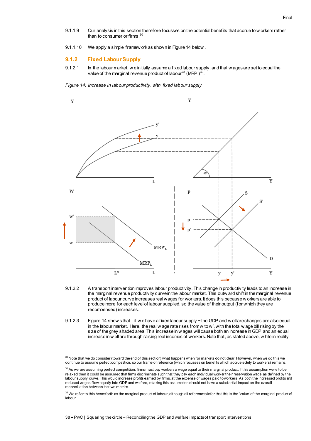- 9.1.1.9 Our analysis in this section therefore focusses on the potential benefits that accrue to w orkers rather than to consumer or firms.<sup>30</sup>
- 9.1.1.10 We apply a simple framew ork as shown i[n Figure 14](#page-39-1) below .

#### <span id="page-39-2"></span>**9.1.2 Fixed Labour Supply**

-

9.1.2.1 In the labour market, w e initially assume a fixed labour supply, and that w ages are set to equal the value of the marginal revenue product of labour $^{31}$  (MRP $_{\rm L})^{32}$ .

<span id="page-39-1"></span><span id="page-39-0"></span>*Figure 14: Increase in labour productivity, with fixed labour supply*



- 9.1.2.2 A transport intervention improves labour productivity. This change in productivity leads to an increase in the marginal revenue productivity curve in the labour market. This outw ard shift in the marginal revenue product of labour curve increases real wages for workers. It does this because w orkers are able to produce more for each level of labour supplied, so the value of their output (for which they are recompensed) increases.
- 9.1.2.3 [Figure 14](#page-39-1) show s that if w e have a fixed labour supply − the GDP and w elfare changes are also equal in the labour market. Here, the real w age rate rises from w to w', with the total w age bill rising by the size of the grey shaded area. This increase in w ages will cause both an increase in GDP and an equal increase in w elfare through raising real incomes of workers. Note that, as stated above, w hile in reality

 $^{30}$  Note that we do consider (toward the end of this section) what happens when for markets do not clear. However, when we do this we continue to assume perfect competition, so our frame of reference (which focusses on benefits which accrue solely to workers) remains.

 $^{\rm 31}$  As we are assuming perfect competition, firms must pay workers a wage equal to their marginal product. If this assumption were to be relaxed then it could be assumed that firms discriminate such that they pay each individual worker their reservation wage as defined by the labour supply curve. This would increase profits earned by firms, at the expense of wages paid to workers. As both the increased profits and reduced wages f low equally into GDP and welfare, relaxing this assumption should not have a substantial impact on the overall reconciliation between the two metrics.

 $^{32}$  We refer to this henceforth as the marginal product of labour, although all references infer that this is the 'value' of the marginal product of labour.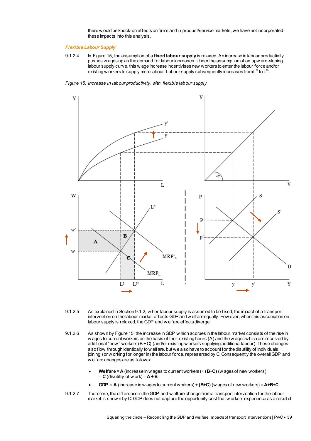there w ould be knock-on effects on firms and in product/service markets, we have not incorporated these impacts into this analysis.

#### *Flexible Labour Supply*

9.1.2.4 In [Figure 15,](#page-40-1) the assumption of a **fixed labour supply** is relaxed. An increase in labour productivity pushes w ages up as the demand for labour increases. Under the assumption of an upw ard-sloping labour supply curve, this w age increase incentivises new workers to enter the labour force and/or existing w orkers to supply more labour. Labour supply subsequently increases from L  $^{\rm S}$  to L  $^{\rm S}$  .

<span id="page-40-1"></span><span id="page-40-0"></span>*Figure 15: Increase in labour productivity, with flexible labour supply*



- 9.1.2.5 As explained in Sectio[n 9.1.2,](#page-39-2) w hen labour supply is assumed to be fixed, the impact of a transport intervention on the labour market affects GDP and w elfare equally. How ever, when this assumption on labour supply is relaxed, the GDP and w elfare effects diverge.
- 9.1.2.6 As shown b[y Figure 15,](#page-40-1) the increase in GDP w hich accrues in the labour market consists of the rise in w ages to current workers on the basis of their existing hours (A) and the w ages which are received by additional "new " workers (B + C) (and/or existing w orkers supplying additional labour). These changes also flow through identically to w elfare, but we also have to account for the disutility of individuals joining (or w orking for longer in) the labour force, represented by C. Consequently the overall GDP and w elfare changes are as follows:
	- **Welfare** = **A** (increase in w ages to current workers) + **(B+C)** (w ages of new workers)  $-$  **C** (disutility of w ork) =  $A + B$
	- **GDP** = **A** (increase in w ages to current workers) + **(B+C)** (w ages of new workers) = **A+B+C**
- 9.1.2.7 Therefore, the difference in the GDP and w elfare change from a transport intervention for the labour market is show n by C: GDP does not capture the opportunity cost that w orkers experience as a result of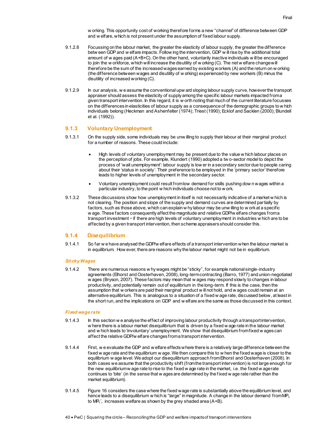w orking. This opportunity cost of working therefore forms a new "channel" of difference between GDP and w elfare, which is not present under the assumption of fixed labour supply.

- 9.1.2.8 Focussing on the labour market, the greater the elasticity of labour supply, the greater the difference betw een GDP and w elfare impacts. Follow ing the intervention, GDP w ill rise by the additional total amount of w ages paid (A+B+C). On the other hand, voluntarily inactive individuals w ill be encouraged to join the w orkforce, which will increase the disutility of w orking (C). The net w elfare change will therefore be the sum of the increased wages earned by existing workers (A) and the return on w orking (the difference between wages and disutility of w orking) experienced by new workers (B) minus the disutility of increased working (C).
- 9.1.2.9 In our analysis, w e assume the conventional upw ard sloping labour supply curve, however the transport appraiser should assess the elasticity of supply among the specific labour markets impacted from a given transport intervention. In this regard, it is w orth noting that much of the current literature focusses on the differences in elasticities of labour supply as a consequence of the demographic groups to w hich individuals belong (Heckman and Ashenfelter (1974); Triest (1990); Ecklof and Sacklen (2000); Blundell et al. (1992)).

#### **9.1.3 Voluntary Unemployment**

- 9.1.3.1 On the supply side, some individuals may be unw illing to supply their labour at their marginal product for a number of reasons. These could include:
	- High levels of voluntary unemployment may be present due to the value w hich labour places on the perception of jobs. For example, Klundert (1990) adopted a tw o-sector model to depict the process of 'wait unemployment': labour supply is low er in a secondary sector due to people caring about their 'status in society'. Their preference to be employed in the 'primary sector' therefore leads to higher levels of unemployment in the secondary sector.
	- Voluntary unemployment could result from low demand for skills pushing dow n wages within a particular industry, to the point w hich individuals choose not to w ork.
- 9.1.3.2 These discussions show how unemployment in itself is not necessarily indicative of a market w hich is not clearing. The position and slope of the supply and demand curves are determined partially by factors, such as those above, which can explain w hy labour may be unw illing to w ork at a specific w age. These factors consequently affect the magnitude and relative GDP/w elfare changes from a transport investment − if there are high levels of voluntary unemployment in industries w hich are to be affected by a given transport intervention, then scheme appraisers should consider this.

#### **9.1.4 Disequilibrium**

9.1.4.1 So far w e have analysed the GDP/w elfare effects of a transport intervention when the labour market is in equilibrium. How ever, there are reasons why the labour market might not be in equilibrium.

#### *Sticky Wages*

9.1.4.2 There are numerous reasons w hy wages might be "sticky", for example national single-industry agreements (Elhorst and Oosterhaven, 2008), long-term contracting (Barro, 1977) and union-negotiated w ages (Bryson, 2007). These factors may mean that w ages may respond slowly to changes in labour productivity, and potentially remain out of equilibrium in the long-term. If this is the case, then the assumption that w orkers are paid their marginal product w ill not hold, and w ages could remain at an alternative equilibrium. This is analogous to a situation of a fixed w age rate, discussed below, at least in the short run, and the implications on GDP and w elfare are the same as those discussed in this context.

#### *Fixed wage rate*

- 9.1.4.3 In this section w e analyse the effect of improving labour productivity through a transport intervention, w here there is a labour market disequilibrium that is driven by a fixed w age rate in the labour market and w hich leads to 'involuntary' unemployment. We show that disequilibrium from fixed w ages can affect the relative GDP/w elfare changes from a transport intervention.
- 9.1.4.4 First, w e evaluate the GDP and w elfare effects where there is a relatively large difference between the fixed w age rate and the equilibrium w age. We then compare this to w hen the fixed wage is closer to the equilibrium w age level. We adopt our disequilibrium approach from Elhorst and Oosterhaven (2008). In both cases we assume that the productivity shift (from the transport intervention) is not large enough for the new equilibrium w age rate to rise to the fixed w age rate in the market, i.e. the fixed w age rate continues to 'bite' (in the sense that w ages are determined by the f ixed w age rate rather than the market equilibrium).
- 9.1.4.5 [Figure 16](#page-42-1) considers the case where the fixed wage rate is substantially above the equilibrium level, and hence leads to a disequilibrium w hich is "large" in magnitude. A change in the labour demand from MP<sub>L</sub> to MPL', increases welfare as shown by the grey shaded area (A+B).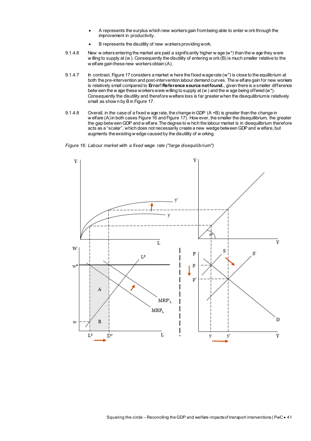- A represents the surplus which new workers gain from being able to enter w ork through the improvement in productivity.
- B represents the disutility of new workers providing work.
- 9.1.4.6 New w orkers entering the market are paid a significantly higher w age  $(w^*)$  than the w age they were w illing to supply at (w). Consequently the disutility of entering w ork (B) is much smaller relative to the w elfare gain these new workers obtain (A).
- 9.1.4.7 In contrast[, Figure 17](#page-43-1) considers a market w here the fixed wage rate (w\*) is close to the equilibrium at both the pre-intervention and post-intervention labour demand curves. The w elfare gain for new workers is relatively small compared to **Error! Reference source not found.**, given there is a smaller difference betw een the w age these workers were willing to supply at (w ) and the w age being offered (w\*). Consequently the disutility and therefore welfare loss is far greater when the disequilibrium is relatively small as show n by B i[n Figure 17.](#page-43-1)
- 9.1.4.8 Overall, in the case of a fixed w age rate, the change in GDP (A +B) is greater than the change in w elfare (A) in both cases [Figure 16](#page-42-1) an[d Figure 17\)](#page-43-1). How ever, the smaller the disequilibrium, the greater the gap betw een GDP and w elfare. The degree to w hich the labour market is in disequilibrium therefore acts as a "scalar", which does not necessarily create a new wedge between GDP and w elfare, but augments the existing w edge caused by the disutility of w orking.

<span id="page-42-1"></span><span id="page-42-0"></span>*Figure 16: Labour market with a fixed wage rate ("large disequilibrium")*

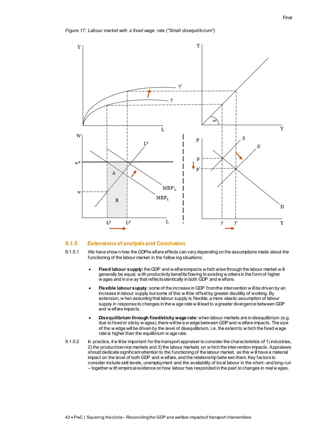<span id="page-43-1"></span><span id="page-43-0"></span>

#### **9.1.5 Extensions of analysis and Conclusion**

- 9.1.5.1 We have show n how the GDP/w elfare effects can vary depending on the assumptions made about the functioning of the labour market in the follow ing situations:
	- **Fixed labour supply:**the GDP and w elfare impacts w hich arise through the labour market w ill generally be equal, w ith productivity benefits flowing to existing w orkers in the form of higher w ages and in a w ay that reflects identically in both GDP and w elfare.
	- **Flexible labour supply**: some of the increase in GDP from the intervention w ill be driven by an increase in labour supply but some of this w ill be offset by greater disutility of working. By extension, w hen assuming that labour supply is flexible, a more elastic assumption of labour supply in response to changes in the w age rate w ill lead to a greater divergence between GDP and w elfare impacts.
	- **Disequilibrium through fixed/sticky wage rate:** when labour markets are in disequilibrium (e.g. due to fixed or sticky w ages), there will be a w edge between GDP and w elfare impacts. The size of the w edge will be driven by the level of disequilibrium, i.e. the extent to w hich the fixed wage rate is higher than the equilibrium w age rate.
- 9.1.5.2 In practice, it w ill be important for the transport appraiser to consider the characteristics of 1) industries, 2) the product/service markets and 3) the labour markets on w hich the intervention impacts. Appraisers should dedicate significant attention to the functioning of the labour market, as this w ill have a material impact on the level of both GDP and w elfare, and the relationship betw een them. Key factors to consider include skill levels, unemployment and the availability of local labour in the short- and long-run – together w ith empirical evidence on how labour has responded in the past to changes in real w ages.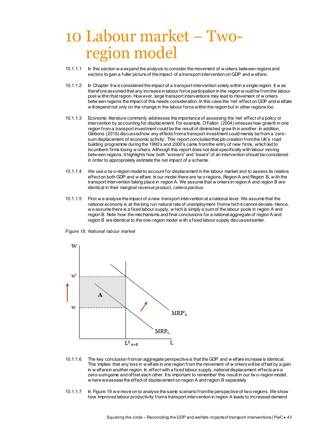## <span id="page-44-0"></span>10 Labour market − Tworegion model

- 10.1.1.1 In this section w e expand the analysis to consider the movement of w orkers between regions and sectors to gain a fuller picture of the impact of a transport intervention on GDP and w elfare.
- 10.1.1.2 In Chapter 9 w e considered the impact of a transport intervention solely within a single region. It w as therefore assumed that any increase in labour force participation in the region w ould be from the labour pool w ithin that region. How ever, large transport interventions may lead to movement of w orkers betw een regions the impact of this needs consideration. In this case the 'net' effect on GDP and w elfare w ill depend not only on the change in the labour force within the region but in other regions too.
- 10.1.1.3 Economic literature commonly addresses the importance of assessing the 'net' effect of a policy or intervention by accounting for displacement. For example, O'Fallon (2004) stresses how growth in one region from a transport investment could be the result of diminished grow th in another. In addition, Gibbons (2015) discussed how any effects from a transport investment could merely be from a 'zerosum displacement of economic activity'. This report concluded that job creation from the UK's road building programme during the 1990's and 2000's came from the entry of new firms, which led to incumbent firms losing w orkers. Although this report does not deal specifically with labour moving betw een regions, it highlights how both "winners" and "losers" of an intervention should be considered in order to appropriately estimate the net impact of a scheme.
- 10.1.1.4 We use a tw o-region model to account for displacement in the labour market and to assess its relative effect on both GDP and w elfare. In our model there are tw o regions, Region A and Region B, w ith the transport intervention taking place in region A. We assume that w orkers in region A and region B are identical in their marginal revenue product, *ceteris paribus*.
- 10.1.1.5 First w e analyse the impact of a new transport intervention at a national level. We assume that the national economy is at the long run natural rate of unemployment from w hich it cannot deviate. Hence, we assume there is a fixed labour supply, w hich is simply a sum of the labour pools in region A and region B*.* Note how the mechanisms and final conclusions for a national aggregate of region A and region B are identical to the one-region model w ith a fixed labour supply discussed earlier.

<span id="page-44-2"></span><span id="page-44-1"></span>*Figure 18: National labour market* 



- 10.1.1.6 The key conclusion from an aggregate perspective is that the GDP and w elfare increase is identical. This implies that any loss in w elfare in one region from the movement of w orkers will be offset by a gain in w elfare in another region. In effect with a fixed labour supply, national displacement effects are a zero-sum game and offset each other. It is important to remember this result in our tw o-region model, w here we assess the effect of displacement on region A and region B separately.
- 10.1.1.7 In [Figure 19](#page-45-1) w e move on to analyse the same scenario from the perspective of two-regions. We show how improved labour productivity from a transport intervention in region A leads to increased demand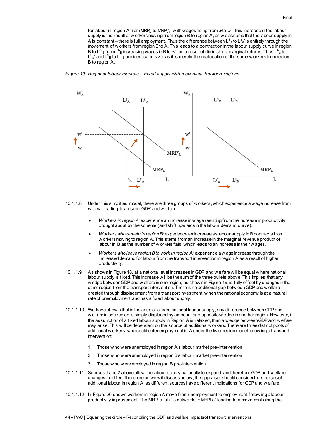for labour in region A from MRPL to MRPL', w ith wages rising from *w*to *w'*. This increase in the labour supply is the result of w orkers moving from region B to region A, as we assume that the labour supply in A is constant – there is full employment. Thus the difference between L $^{\rm S}$  ato L $^{\rm S}$  is entirely through the movement of w orkers from region B to A. This leads to a contraction in the labour supply curve in region B to L<sup>s'</sup><sub>B</sub> fromL<sup>s</sup><sub>B</sub> increasing wages in B to *w*', as a result of diminishing marginal returns. Thus L<sup>s</sup> ato  $\mathsf{L}^\mathsf{s}_\mathsf{a}$ ' and  $\mathsf{L}^\mathsf{s}_\mathsf{B}$  bo  $\mathsf{L}^\mathsf{s}$  is and it is merely the reallocation of the same w orkers from region B to region A.

#### <span id="page-45-1"></span><span id="page-45-0"></span>*Figure 19: Regional labour markets – Fixed supply with movement between regions*



- 10.1.1.8 Under this simplified model, there are three groups of w orkers, which experience a wage increase from *w* to *w'*, leading to a rise in GDP and w elfare.
	- *Workers in region A:* experience an increase in w age resulting from the increase in productivity brought about by the scheme (and shift upw ards in the labour demand curve).
	- *Workers who remain in region B:* experience an increase as labour supply in B contracts from w orkers moving to region A. This stems from an increase in the marginal revenue product of labour in B as the number of w orkers falls, which leads to an increase in their w ages.
	- *Workers who leave region B to work in region A:* experience a w age increase through the increased demand for labour from the transport intervention in region A as a result of higher productivity.
- 10.1.1.9 As shown in [Figure 18,](#page-44-2) at a national level increases in GDP and w elfare will be equal w here national labour supply is fixed. This increase w ill be the sum of the three bullets above. This implies that any w edge between GDP and w elfare in one region, as show n i[n Figure 19,](#page-45-1) is fully offset by changes in the other region from the transport intervention. There is no additional gap betw een GDP and w elfare created through displacement from a transport investment, w hen the national economy is at a natural rate of unemployment and has a fixed labour supply.
- 10.1.1.10 We have show n that in the case of a fixed national labour supply, any difference between GDP and w elfare in one region is simply displaced by an equal and opposite w edge in another region. How ever, if the assumption of a fixed labour supply in Region A is relaxed, than a w edge between GDP and w elfare may arise. This w ill be dependent on the source of additional w orkers. There are three distinct pools of additional w orkers, who could enter employment in A under the tw o-region model follow ing a transport intervention:
	- 1. Those w ho w ere unemployed in region A's labour market pre-intervention
	- 2. Those w ho w ere unemployed in region B's labour market pre-intervention
	- 3. Those w ho w ere employed in region B pre-intervention
- 10.1.1.11 Sources 1 and 2 above allow the labour supply nationally to expand, and therefore GDP and w elfare changes to differ. Therefore as we will discuss below, the appraiser should consider the sources of additional labour in region A, as different sources have different implications for GDP and w elfare.
- 10.1.1.12 In [Figure 20](#page-46-2) shows workers in region A move from unemployment to employment follow ing a labour productivity improvement. The MRPLa shifts outwards to MRPLa' leading to a movement along the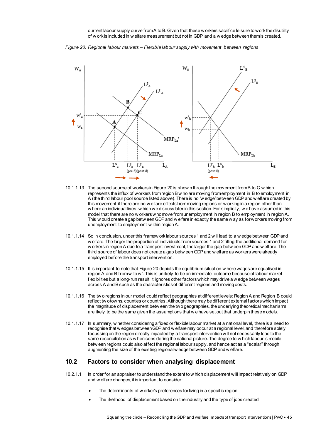current labour supply curve from A to B. Given that these w orkers sacrifice leisure to work the disutility of w ork is included in w elfare measurement but not in GDP and a w edge between them is created.

<span id="page-46-2"></span><span id="page-46-1"></span>



- 10.1.1.13 The second source of workers i[n Figure 20](#page-46-2) is show n through the movement from B to C w hich represents the influx of workers from region B w ho are moving from employment in B to employment in A (the third labour pool source listed above). There is no 'w edge' between GDP and w elfare created by this movement if there are no w elfare effects from moving regions or w orking in a region other than w here an individual lives, w hich we discuss later in this section. For simplicity, w e have assumed in this model that there are no w orkers who move from unemployment in region B to employment in region A. This w ould create a gap betw een GDP and w elfare in exactly the same w ay as for workers moving from unemployment to employment w ithin region A.
- 10.1.1.14 So in conclusion, under this framew ork labour sources 1 and 2 w ill lead to a w edge between GDP and w elfare. The larger the proportion of individuals from sources 1 and 2 filling the additional demand for w orkers in region A due to a transport investment, the larger the gap betw een GDP and w elfare. The third source of labour does not create a gap betw een GDP and w elfare as workers were already employed before the transport intervention.
- 10.1.1.15 It is important to note tha[t Figure 20](#page-46-2) depicts the equilibrium situation w here wages are equalised in region A and B from w to w'. This is unlikely to be an immediate outcome because of labour market flexibilities but a long-run result. It ignores other factors which may drive a w edge between wages across A and B such as the characteristics of different regions and moving costs.
- 10.1.1.16 The tw o regions in our model could reflect geographies at different levels: Region A and Region B could reflect tw o towns, counties or countries. Although there may be different external factors which impact the magnitude of displacement betw een the two geographies, the underlying theoretical mechanisms are likely to be the same given the assumptions that w e have set out that underpin these models.
- 10.1.1.17 In summary, w hether considering a fixed or flexible labour market at a national level, there is a need to recognise that w edges between GDP and w elfare may occur at a regional level, and therefore solely focussing on the region directly impacted by a transport intervention will not necessarily lead to the same reconciliation as w hen considering the national picture. The degree to w hich labour is mobile betw een regions could also affect the regional labour supply, and hence act as a "scalar" through augmenting the size of the existing regional w edge between GDP and w elfare.

#### <span id="page-46-0"></span>**10.2 Factors to consider when analysing displacement**

- 10.2.1.1 In order for an appraiser to understand the extent to w hich displacement w ill impact relatively on GDP and w elfare changes, it is important to consider:
	- The determinants of w orker's preferences for living in a specific region
	- The likelihood of displacement based on the industry and the type of jobs created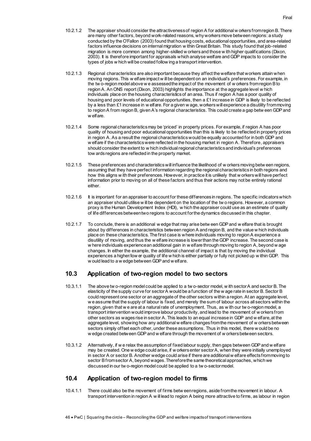- 10.2.1.2 The appraiser should consider the attractiveness of region A for additional w orkers from region B. There are many other factors, beyond work-related reasons, why workers move between regions: a study conducted by the O'Fallon (2003) found that housing costs, educational opportunities, and area-related factors influence decisions on internal migration w ithin Great Britain. This study found that job-related migration is more common among higher-skilled w orkers and those w ith higher qualifications (Dixon, 2003). It is therefore important for appraisals which analyse welfare and GDP impacts to consider the types of jobs w hich will be created follow ing a transport intervention.
- 10.2.1.3 Regional characteristics are also important because they affect the welfare that workers attain when moving regions. This w elfare impact w ill be dependent on an individual's preferences. For example, in the tw o-region model above w e assessed the impact of the movement of w orkers from region B to region A. An ONS report (Dixon, 2003) highlights the importance at the aggregate level w hich individuals place on the housing characteristics of an area. Thus if region A has a poor quality of housing and poor levels of educational opportunities, then a £1 increase in GDP is likely to be reflected by a less than £1 increase in w elfare. For a given w age, workers will experience a disutility from moving to region A from region B, given A's regional characteristics. This could create a gap betw een GDP and w elfare.
- 10.2.1.4 Some regional characteristics may be 'priced' in property prices. For example, if region A has poor quality of housing and poor educational opportunities than this is likely to be reflected in property prices in region A. As a result the regional characteristics would be equally accounted for in both GDP and w elfare if the characteristics were reflected in the housing market in region A. Therefore, appraisers should consider the extent to w hich individual regional characteristics and individual's preferences tow ards regions are reflected in the property market.
- 10.2.1.5 These preferences and characteristics will influence the likelihood of w orkers moving betw een regions, assuming that they have perfect information regarding the regional characteristics in both regions and how this aligns w ith their preferences. However, in practice it is unlikely that w orkers will have perfect information prior to moving on all of these factors and thus their actions may not be entirely rational either.
- 10.2.1.6 It is important for an appraiser to account for these differences in regions. The specific indicators which an appraiser should utilise w ill be dependent on the location of the tw o regions. However, a common proxy is the Human Development Index (HDI), w hich the appraiser could use as an estimate of quality of life differences between two regions to account for the dynamics discussed in this chapter.
- 10.2.1.7 To conclude, there is an additional w edge that may arise betw een GDP and w elfare that is brought about by differences in characteristics between region A and region B, and the value w hich individuals place on these characteristics. The first case is where individuals moving to region A experience a disutility of moving, and thus the w elfare increase is lower than the GDP increase. The second case is w here individuals experience an additional gain in w elfare through moving to region A, beyond w age changes. In either the example, the additional channel of impact is that by moving the individual experiences a higher/low er quality of life w hich is either partially or fully not picked up w ithin GDP. This w ould lead to a w edge between GDP and w elfare.

## <span id="page-47-0"></span>**10.3 Application of two-region model to two sectors**

- 10.3.1.1 The above tw o-region model could be applied to a tw o-sector model, w ith sector A and sector B. The elasticity of the supply curve for sector A would be a function of the w age rate in sector B. Sector B could represent one sector or an aggregate of the other sectors within a region. At an aggregate level, w e assume that the supply of labour is fixed, and merely the sum of labour across all sectors within the region, given that w e are at a natural rate of unemployment. Thus, as w ith our tw o-region model, a transport intervention would improve labour productivity, and lead to the movement of w orkers from other sectors as wages rise in sector A. This leads to an equal increase in GDP and w elfare, at the aggregate level, showing how any additional w elfare changes from the movement of w orkers between sectors simply offset each other, under these assumptions. Thus in this model, there w ould be no w edge created between GDP and w elfare through the movement of w orkers between sectors.
- 10.3.1.2 Alternatively, if w e relax the assumption of fixed labour supply, then gaps between GDP and w elfare may be created. One w edge could arise, if w orkers enter sector A, when they were initially unemployed in sector A or sector B. Another wedge could arise if there are additional w elfare effects from moving to sector B from sector A, beyond wages. Therefore the same theoretical approaches, which we discussed in our tw o-region model could be applied to a tw o-sector model.

## <span id="page-47-1"></span>**10.4 Application of two-region model to firms**

10.4.1.1 There could also be the movement of firms betw een regions, aside from the movement in labour. A transport intervention in region A w ill lead to region A being more attractive to firms, as labour in region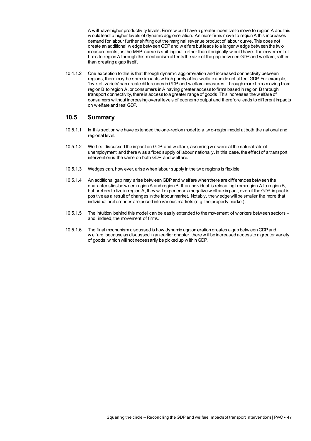A w ill have higher productivity levels. Firms w ould have a greater incentive to move to region A and this w ould lead to higher levels of dynamic agglomeration. As more firms move to region A this increases demand for labour further shifting out the marginal revenue product of labour curve. This does not create an additional w edge between GDP and w elfare but leads to a larger w edge between the tw o measurements, as the MRP curve is shifting out further than it originally w ould have. The movement of firms to region A through this mechanism affects the size of the gap betw een GDP and w elfare, rather than creating a gap itself.

10.4.1.2 One exception to this is that through dynamic agglomeration and increased connectivity between regions, there may be some impacts w hich purely affect welfare and do not affect GDP. For example, 'love-of-variety' can create differences in GDP and w elfare measures. Through more firms moving from region B to region A, or consumers in A having greater access to firms based in region B through transport connectivity, there is access to a greater range of goods. This increases the w elfare of consumers w ithout increasing overall levels of economic output and therefore leads to different impacts on w elfare and real GDP.

### <span id="page-48-0"></span>**10.5 Summary**

- 10.5.1.1 In this section w e have extended the one-region model to a tw o-region model at both the national and regional level.
- 10.5.1.2 We first discussed the impact on GDP and w elfare, assuming w e were at the natural rate of unemployment and there w as a fixed supply of labour nationally. In this case, the effect of a transport intervention is the same on both GDP and w elfare.
- 10.5.1.3 Wedges can, how ever, arise when labour supply in the tw o regions is flexible.
- 10.5.1.4 An additional gap may arise betw een GDP and w elfare when there are differences between the characteristics between region A and region B. If an individual is relocating from region A to region B, but prefers to live in region A, they w ill experience a negative w elfare impact, even if the GDP impact is positive as a result of changes in the labour market. Notably, the w edge will be smaller the more that individual preferences are priced into various markets (e.g. the property market).
- 10.5.1.5 The intuition behind this model can be easily extended to the movement of w orkers between sectors and, indeed, the movement of firms.
- 10.5.1.6 The final mechanism discussed is how dynamic agglomeration creates a gap betw een GDP and w elfare, because as discussed in an earlier chapter, there w ill be increased access to a greater variety of goods, w hich will not necessarily be picked up w ithin GDP.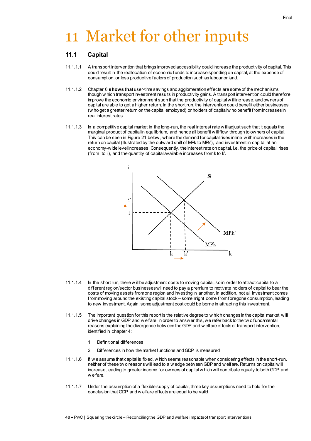# <span id="page-49-0"></span>11 Market for other inputs

## <span id="page-49-1"></span>**11.1 Capital**

- 11.1.1.1 A transport intervention that brings improved accessibility could increase the productivity of capital. This could result in the reallocation of economic funds to increase spending on capital, at the expense of consumption, or less productive factors of production such as labour or land.
- 11.1.1.2 Chapte[r 6](#page-31-0) **shows that** user-time savings and agglomeration effects are some of the mechanisms though w hich transport investment results in productivity gains. A transport intervention could therefore improve the economic environment such that the productivity of capital w ill increase, and owners of capital are able to get a higher return. In the short run, the intervention could benefit either businesses (w ho get a greater return on the capital employed) or holders of capital w ho benefit from increases in real interest rates.
- 11.1.1.3 In a competitive capital market in the long-run, the real interest rate w ill adjust such that it equals the marginal product of capital in equilibrium, and hence all benefit w ill flow through to owners of capital. This can be seen in [Figure 21](#page-50-1) below , where the demand for capital rises in line w ith increases in the return on capital (illustrated by the outw ard shift of MPk to MPk'), and investment in capital at an economy-wide level increases. Consequently, the interest rate on capital, i.e. the price of capital, rises (from i to i'), and the quantity of capital available increases from k to k'.

- $MPk'$ **MPk** k  $\mathbf{k}$ k 11.1.1.4 In the short run, there w ill be adjustment costs to moving capital, so in order to attract capital to a different region/sector businesses will need to pay a premium to motivate holders of capital to bear the costs of moving assets from one region and investing in another. In addition, not all investment comes from moving around the existing capital stock – some might come from foregone consumption, leading
- 11.1.1.5 The important question for this report is the relative degree to w hich changes in the capital market w ill drive changes in GDP and w elfare. In order to answer this, we refer back to the tw o fundamental reasons explaining the divergence betw een the GDP and w elfare effects of transport intervention, identified in chapte[r 4:](#page-24-0)

to new investment. Again, some adjustment cost could be borne in attracting this investment.

1. Definitional differences

i

- 2. Differences in how the market functions and GDP is measured
- 11.1.1.6 If w e assume that capital is fixed, w hich seems reasonable when considering effects in the short-run, neither of these tw o reasons will lead to a w edge between GDP and w elfare. Returns on capital w ill increase, leading to greater income for ow ners of capital w hich will contribute equally to both GDP and w elfare.
- 11.1.1.7 Under the assumption of a flexible supply of capital, three key assumptions need to hold for the conclusion that GDP and w elfare effects are equal to be valid.

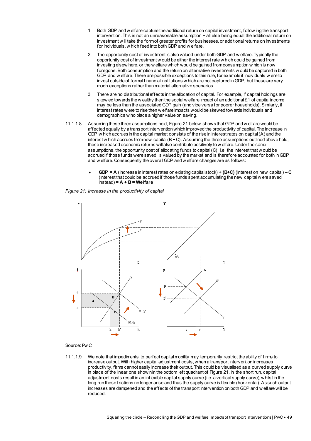- 1. Both GDP and w elfare capture the additional return on capital investment, follow ing the transport intervention. This is not an unreasonable assumption − all else being equal the additional return on investment w ill take the form of greater profits for businesses, or additional returns on investments for individuals, w hich feed into both GDP and w elfare.
- 2. The opportunity cost of investment is also valued under both GDP and w elfare. Typically the opportunity cost of investment w ould be either the interest rate w hich could be gained from investing elsew here, or the w elfare which would be gained from consumption w hich is now foregone. Both consumption and the return on alternative investments w ould be captured in both GDP and w elfare. There are possible exceptions to this rule, for example if individuals w ere to invest outside of formal financial institutions w hich are not captured in GDP, but these are very much exceptions rather than material alternative scenarios.
- 3. There are no distributional effects in the allocation of capital. For example, if capital holdings are skew ed towards the w ealthy then the social w elfare impact of an additional £1 of capital income may be less than the associated GDP gain (and vice versa for poorer households). Similarly, if interest rates w ere to rise then w elfare impacts would be skewed towards individuals and demographics w ho place a higher value on saving.
- 11.1.1.8 Assuming these three assumptions hold[, Figure 21](#page-50-1) below shows that GDP and w elfare would be affected equally by a transport intervention which improved the productivity of capital. The increase in GDP w hich accrues in the capital market consists of the rise in interest rates on capital (A) and the interest w hich accrues from new capital  $(B + C)$ . Assuming the three assumptions outlined above hold, these increased economic returns will also contribute positively to w elfare. Under the same assumptions, the opportunity cost of allocating funds to capital (C), i.e. the interest that w ould be accrued if those funds were saved, is valued by the market and is therefore accounted for both in GDP and w elfare. Consequently the overall GDP and w elfare changes are as follows:
	- **GDP = A** (increase in interest rates on existing capital stock) **+ (B+C)** (interest on new capital) **– C** (interest that could be accrued if those funds spent accumulating the new capital w ere saved instead) **= A + B = Welfare**

<span id="page-50-1"></span><span id="page-50-0"></span>*Figure 21: Increase in the productivity of capital*



#### Source: Pw C

11.1.1.9 We note that impediments to perfect capital mobility may temporarily restrict the ability of firms to increase output. With higher capital adjustment costs, when a transport intervention increases productivity, firms cannot easily increase their output. This could be visualised as a curved supply curve in place of the linear one show nin the bottom left quadrant o[f Figure 21.](#page-50-1) In the short run, capital adjustment costs result in an inflexible capital supply curve (i.e. a vertical supply curve), whilst in the long run these frictions no longer arise and thus the supply curve is flexible (horizontal). As such output increases are dampened and the effects of the transport intervention on both GDP and w elfare will be reduced.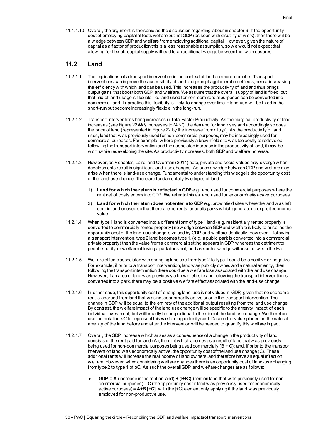11.1.1.10 Overall, the argument is the same as the discussion regarding labour in chapte[r 9.](#page-38-0) If the opportunity cost of employing capital affects welfare but not GDP (as seen w ith disutility of w ork), then there w ill be a w edge between GDP and w elfare from employing additional capital. How ever, given the nature of capital as a factor of production this is a less reasonable assumption, so w e would not expect that allow ing for flexible capital supply w ill lead to an additional w edge between the tw o measures.

## <span id="page-51-0"></span>**11.2 Land**

- 11.2.1.1 The implications of a transport intervention in the context of land are more complex. Transport interventions can improve the accessibility of land and prompt agglomeration effects, hence increasing the efficiency with which land can be used. This increases the productivity of land and thus brings output gains that boost both GDP and w elfare. We assume that the overall supply of land is fixed, but that mix of land usage is flexible, i.e. land used for non-commercial purposes can be converted into commercial land. In practice this flexibility is likely to change over time − land use w ill be fixed in the short-run but become increasingly flexible in the long-run.
- 11.2.1.2 Transport interventions bring increases in Total Factor Productivity. As the marginal productivity of land increases (se[e Figure 22](#page-52-1) *MP<sup>L</sup>* increases to *MPL'*), the demand for land rises and accordingly so does the price of land (represented i[n Figure 22](#page-52-1) by the increase from *p* to *p'*). As the productivity of land rises, land that w as previously used for non-commercial purposes, may be increasingly used for commercial purposes. For example, w here previously a brownfield site w as too costly to redevelop, follow ing the transport intervention and the associated increase in the productivity of land, it may be w orthwhile redeveloping the site. As productivity increases, both GDP and w elfare increase.
- 11.2.1.3 How ever, as Venables, Laird, and Overman (2014) note, private and social values may diverge w hen developments result in significant land-use changes. As such a w edge between GDP and w elfare may arise w hen there is land-use change. Fundamental to understanding this w edge is the opportunity cost of the land-use change. There are fundamentally tw o types of land:
	- 1) **Land for which the return is reflected in GDP** e.g. land used for commercial purposes where the rent net of costs enters into GDP. We refer to this as land used for '*economically active'* purposes.
	- 2) **Land for which the return does not enter into GDP** e.g. brow nfield sites where the land w as left derelict and unused so that there are no rents; or public parks w hich generate no explicit economic value.
- 11.2.1.4 When type 1 land is converted into a different form of type 1 land (e.g. residentially rented property is converted to commercially rented property) no w edge between GDP and w elfare is likely to arise, as the opportunity cost of the land-use change is valued by GDP and w elfare identically. How ever, if following a transport intervention, type 2 land becomes type 1, (e.g. a public park is converted into a commercial private property) then the value from a commercial setting appears in GDP w hereas the detriment to people's utility or w elfare of losing a park does not, and as such a w edge will arise between the two.
- 11.2.1.5 Welfare effects associated with changing land use from type 2 to type 1 could be a positive or negative. For example, if prior to a transport intervention, land w as publicly owned and a natural amenity, then follow ing the transport intervention there could be a w elfare loss associated with the land use change. How ever, if an area of land w as previously a brownfield site and follow ing the transport intervention is converted into a park, there may be a positive w elfare effect associated with the land-use change.
- 11.2.1.6 In either case, this opportunity cost of changing land-use is not valued in GDP, given that no economic rent is accrued from land that w as not economically active prior to the transport intervention. The change in GDP w ill be equal to the entirety of the additional output resulting from the land use change. By contrast, the w elfare impact of the land use change w ill be specific to the amenity impact of each individual investment, but w ill broadly be proportional to the size of the land use change. We therefore use the notation *αC* to represent this w elfare opportunity cost. Data on the value placed on the natural amenity of the land before and after the intervention w ill be needed to quantify this w elfare impact.
- 11.2.1.7 Overall, the GDP increase w hich arises as a consequence of a change in the productivity of land, consists of the rent paid for land  $(A)$ ; the rent w hich accrues as a result of land that w as prev iously being used for non-commercial purposes being used commercially (B + C); and, if prior to the transport intervention land w as economically active, the opportunity cost of the land use change (C). These additional rents w ill increase the real income of land ow ners, and therefore have an equal effect on w elfare. However, when considering welfare changes there is an opportunity cost of land-use changing from type 2 to type 1 of αC. As such the overall GDP and w elfare changes are as follows:
	- **GDP = A** (increase in the rent on land) **+ (B+C)** (rent on land that w as previously used for noncommercial purposes) **– C** (the opportunity cost if land w as previously used for economically active purposes) = **A+B [+C]**, w ith the [+C] element only applying if the land w as previously employed for non-productive use.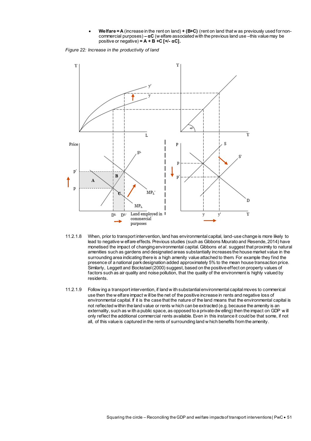**Welfare = A** (increase in the rent on land) **+ (B+C)** (rent on land that w as previously used for noncommercial purposes) **– αC** (w elfare associated with the previous land use –this value may be positive or negative)  $= A + B + C$  [ $+/- \alpha$ C].

<span id="page-52-1"></span><span id="page-52-0"></span>*Figure 22: Increase in the productivity of land*



- 11.2.1.8 When, prior to transport intervention, land has environmental capital, land-use change is more likely to lead to negative w elfare effects. Previous studies (such as Gibbons Mourato and Resende, 2014) have monetised the impact of changing environmental capital. Gibbons *et al.* suggest that proximity to natural amenities such as gardens and designated areas substantially increases the house market value in the surrounding area indicating there is a high amenity value attached to them. For example they find the presence of a national park designation added approximately 5% to the mean house transaction price. Similarly, Leggett and Bockstael (2000) suggest, based on the positive effect on property values of factors such as air quality and noise pollution, that the quality of the environment is highly valued by residents.
- 11.2.1.9 Follow ing a transport intervention, if land w ith substantial environmental capital moves to commerical use then the w elfare impact w ill be the net of the positive increase in rents and negative loss of environmental capital. If it is the case that the nature of the land means that the environmental capital is not reflected within the land value or rents w hich can be extracted (e.g. because the amenity is an externality, such as w ith a public space, as opposed to a private dw elling) then the impact on GDP w ill only reflect the additional commercial rents available. Even in this instance it could be that some, if not all, of this value is captured in the rents of surrounding land w hich benefits from the amenity.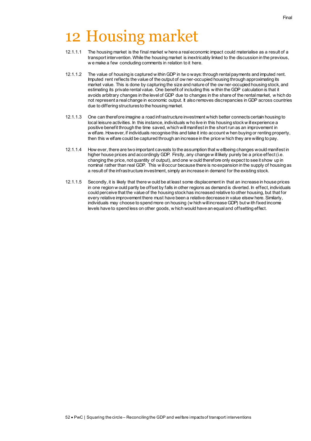- <span id="page-53-0"></span>12.1.1.1 The housing market is the final market w here a real economic impact could materialise as a result of a transport intervention. While the housing market is inextricably linked to the discussion in the previous, w e make a few concluding comments in relation to it here.
- 12.1.1.2 The value of housing is captured w ithin GDP in tw o ways: through rental payments and imputed rent. Imputed rent reflects the value of the output of ow ner-occupied housing through approximating its market value. This is done by capturing the size and nature of the ow ner-occupied housing stock, and estimating its private rental value. One benefit of including this w ithin the GDP calculation is that it avoids arbitrary changes in the level of GDP due to changes in the share of the rental market, w hich do not represent a real change in economic output. It also removes discrepancies in GDP across countries due to differing structures to the housing market.
- 12.1.1.3 One can therefore imagine a road infrastructure investment which better connects certain housing to local leisure activities. In this instance, individuals w ho live in this housing stock w ill experience a positive benefit through the time saved, which will manifest in the short run as an improvement in w elfare. However, if individuals recognise this and take it into account w hen buying or renting property, then this w elfare could be captured through an increase in the price w hich they are willing to pay.
- 12.1.1.4 How ever, there are two important caveats to the assumption that w ellbeing changes would manifest in higher house prices and accordingly GDP. Firstly, any change w ill likely purely be a price effect (i.e. changing the price, not quantity of output), and one w ould therefore only expect to see it show up in nominal rather than real GDP. This w ill occur because there is no expansion in the supply of housing as a result of the infrastructure investment, simply an increase in demand for the existing stock.
- 12.1.1.5 Secondly, it is likely that there w ould be at least some displacement in that an increase in house prices in one region w ould partly be offset by falls in other regions as demand is diverted. In effect, individuals could perceive that the value of the housing stock has increased relative to other housing, but that for every relative improvement there must have been a relative decrease in value elsew here. Similarly, individuals may choose to spend more on housing (w hich will increase GDP) but w ith fixed income levels have to spend less on other goods, w hich would have an equal and offsetting effect.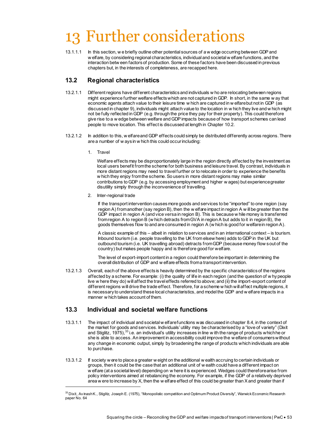## <span id="page-54-0"></span>13 Further considerations

13.1.1.1 In this section, w e briefly outline other potential sources of a w edge occurring between GDP and w elfare, by considering regional characteristics, individual and societal w elfare functions, and the interaction betw een factors of production. Some of these factors have been discussed in previous chapters but, in the interests of completeness, are recapped here.

## <span id="page-54-1"></span>**13.2 Regional characteristics**

- 13.2.1.1 Different regions have different characteristics and individuals w ho are relocating between regions might experience further welfare effects which are not captured in GDP. In short, in the same w ay that economic agents attach value to their leisure time w hich are captured in w elfare but not in GDP (as discussed in chapte[r 9\)](#page-38-0), individuals might attach value to the location in w hich they live and w hich might not be fully reflected in GDP (e.g. through the price they pay for their property). This could therefore give rise to a w edge between welfare and GDP impacts because of how transport schemes can lead people to move location. This effect is discussed at length in Chapte[r 10.2.](#page-46-0)
- 13.2.1.2 In addition to this, w elfare and GDP effects could simply be distributed differently across regions. There are a number of w ays in w hich this could occur including:
	- 1. Travel

-

Welfare effects may be disproportionately large in the region directly affected by the investment as local users benefit from the scheme for both business and leisure travel. By contrast, individuals in more distant regions may need to travel further or to relocate in order to experience the benefits w hich they enjoy from the scheme. So users in more distant regions may make similar contributions to GDP (e.g. by accessing employment and higher w ages) but experience greater disutility simply through the inconvenience of travelling.

2. Inter-regional trade

If the transport intervention causes more goods and services to be "imported" to one region (say region A) from another (say region B), then the w elfare impact in region A w ill be greater than the GDP impact in region A (and vice versa in region B). This is because w hile money is transferred from region A to region B (w hich detracts from GVA in region A but adds to it in region B), the goods themselves flow to and are consumed in region A (w hich is good for welfare in region A).

A classic example of this – albeit in relation to services and in an international context – is tourism. Inbound tourism (i.e. people travelling to the UK from elsew here) adds to GDP in the UK but outbound tourism (i.e. UK travelling abroad) detracts from GDP (because money flow s out of the country) but makes people happy and is therefore good for welfare.

The level of export-import content in a region could therefore be important in determining the overall distribution of GDP and w elfare effects from a transport intervention.

13.2.1.3 Overall, each of the above effects is heavily determined by the specific characteristics of the regions affected by a scheme. For example: (i) the quality of life in each region (and the question of w hy people live w here they do) will affect the travel effects referred to above; and (ii) the import-export content of different regions will drive the trade effect. Therefore, for a scheme w hich will affect multiple regions, it is necessary to understand these local characteristics, and model the GDP and w elfare impacts in a manner w hich takes account of them.

## <span id="page-54-2"></span>**13.3 Individual and societal welfare functions**

- 13.3.1.1 The impact of individual and societal w elfare functions was discussed in chapte[r 8.4,](#page-37-0) in the context of the market for goods and services. Individuals' utility may be characterised by a "love of variety" (Dixit and Stiglitz, 1975),<sup>33</sup> i.e. an individual's utility increases in line w ith the range of products which he or she is able to access. An improvement in accessibility could improve the w elfare of consumers without any change in economic output, simply by broadening the range of products which individuals are able to purchase.
- 13.3.1.2 If society w ere to place a greater w eight on the additional w ealth accruing to certain individuals or groups, then it could be the case that an additional unit of w ealth could have a different impact on w elfare (at a societal level) depending on w here it is experienced. Wedges could therefore arise from policy interventions aimed at rebalancing the economy. For example, if the GDP of a relatively deprived area w ere to increase by X, then the w elfare effect of this could be greater than X and greater than if

 $^{\rm 33}$  Dixit, Av inash K., Stiglitz, Joseph E. (1975), "Monopolistic competition and Optimum Product Diversity", Warwick Economic Research paper No. 64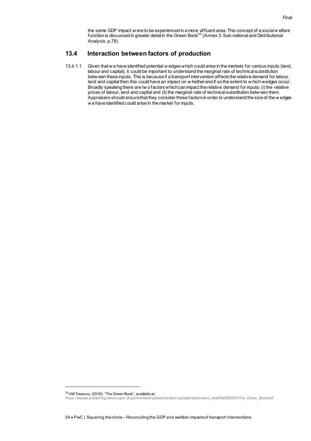the same GDP impact w ere to be experienced in a more affluent area. This concept of a social w elfare function is discussed in greater detail in the Green Book<sup>34</sup> (Annex 3: Sub-national and Distributional Analysis, p.78).

### <span id="page-55-0"></span>**13.4 Interaction between factors of production**

13.4.1.1 Given that w e have identified potential w edges which could arise in the markets for various inputs (land, labour and capital), it could be important to understand the marginal rate of technical substitution betw een these inputs. This is because if a transport intervention affects the relative demand for labour, land and capital then this could have an impact on w hether and if so the extent to w hich wedges occur. Broadly speaking there are tw o factors which can impact the relative demand for inputs: (i) the relative prices of labour, land and capital and (ii) the marginal rate of technical substitution betw een them. Appraisers should ensure that they consider these factors in order to understand the size of the w edges w e have identified could arise in the market for inputs.

<sup>34</sup> HM Treasury (2016); "The Green Book", available at:

[https://assets.publishing.service.gov.uk/government/uploads/system/uploads/attachment\\_data/file/685903/The\\_Green\\_Book.pdf](https://assets.publishing.service.gov.uk/government/uploads/system/uploads/attachment_data/file/685903/The_Green_Book.pdf)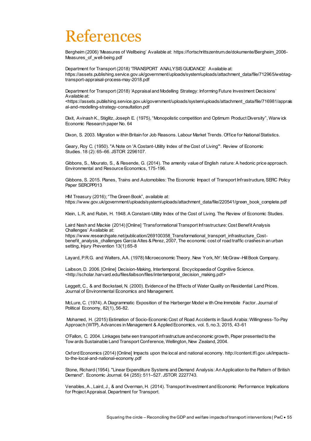## References

Bergheim (2006) 'Measures of Wellbeing' Available at: https://fortschrittszentrum.de/dokumente/Bergheim\_2006- Measures\_of\_well-being.pdf

Department for Transport (2018) 'TRANSPORT ANALYSIS GUIDANCE' Available at: [https://assets.publishing.service.gov.uk/government/uploads/system/uploads/attachment\\_data/file/712965/webtag](https://assets.publishing.service.gov.uk/government/uploads/system/uploads/attachment_data/file/712965/webtag-transport-appraisal-process-may-2018.pdf)[transport-appraisal-process-may-2018.pdf](https://assets.publishing.service.gov.uk/government/uploads/system/uploads/attachment_data/file/712965/webtag-transport-appraisal-process-may-2018.pdf)

Department for Transport (2018) 'Appraisal and Modelling Strategy: Informing Future Investment Decisions' Available at:

<https://assets.publishing.service.gov.uk/government/uploads/system/uploads/attachment\_data/file/716981/apprais al-and-modelling-strategy-consultation.pdf

Dixit, Avinash K., Stiglitz, Joseph E. (1975), "Monopolistic competition and Optimum Product Diversity", Warw ick Economic Research paper No. 64

Dixon, S. 2003. Migration w ithin Britain for Job Reasons. Labour Market Trends. Office for National Statistics.

Geary, Roy C. (1950). "A Note on 'A Costant-Utility Index of the Cost of Living'". [Review of Economic](https://en.wikipedia.org/wiki/Review_of_Economic_Studies)  [Studies.](https://en.wikipedia.org/wiki/Review_of_Economic_Studies) 18 (2): 65–66. [JSTOR](https://en.wikipedia.org/wiki/JSTOR) [2296107.](https://www.jstor.org/stable/2296107)

Gibbons, S., Mourato, S., & Resende, G. (2014). The amenity value of English nature: A hedonic price approach. Environmental and Resource Economics, 175-196.

Gibbons, S. 2015. Planes, Trains and Automobiles: The Economic Impact of Transport Infrastructure, SERC Policy Paper SERCPP013

HM Treasury (2016); "The Green Book", available at: https://www.gov.uk/government/uploads/system/uploads/attachment\_data/file/220541/green\_book\_complete.pdf

Klein, L.R, and Rubin, H. 1948. A Constant-Utility Index of the Cost of Living. The Review of Economic Studies.

Laird Nash and Mackie (2014) [Online] 'Transformational Transport Infrastructure: Cost Benefit Analysis Challenges' Available at:

https://www.researchgate.net/publication/269100358\_Transformational\_transport\_infrastructure\_Costbenefit\_analysis\_challenges Garcia Altes & Perez, 2007, The economic cost of road traffic crashes in an urban setting, Injury Prevention 13(1):65-8

Layard, P.R.G. and Walters, AA. (1978) Microeconomic Theory. New York, NY: McGraw -Hill Book Company.

Laibson, D. 2006. [Online] Decision-Making, Intertemporal. Encyclopaedia of Cognitive Science. <http://scholar.harvard.edu/files/laibson/files/intertemporal\_decision\_making.pdf>

Leggett, C., & and Bockstael, N. (2000). Evidence of the Effects of Water Quality on Residential Land Prices. Journal of Environmental Economics and Management.

McLure, C. (1974). A Diagrammatic Exposition of the Harberger Model w ith One Immobile Factor. Journal of Political Economy, 82(1), 56-82.

Mohamed, H. (2015) Estimation of Socio-Economic Cost of Road Accidents in Saudi Arabia: Willingness-To-Pay Approach (WTP), Advances in Management & Applied Economics, vol. 5, no.3, 2015, 43-61

O'Fallon, C. 2004. Linkages betw een transport infrastructure and economic growth, Paper presented to the Tow ards Sustainable Land Transport Conference, Wellington, New Zealand, 2004.

Oxford Economics (2014) [Online] Impacts upon the local and national economy[. http://content.tfl.gov.uk/impacts](http://content.tfl.gov.uk/impacts-to-the-local-and-national-economy.pdf)[to-the-local-and-national-economy.pdf](http://content.tfl.gov.uk/impacts-to-the-local-and-national-economy.pdf)

Stone, Richard (1954). "Linear Expenditure Systems and Demand Analysis: An Application to the Pattern of British Demand". [Economic Journal.](https://en.wikipedia.org/wiki/Economic_Journal) 64 (255): 511–527. [JSTOR](https://en.wikipedia.org/wiki/JSTOR) [2227743.](https://www.jstor.org/stable/2227743)

Venables, A., Laird, J., & and Overman, H. (2014). Transport Investment and Economic Performance: Implications for Project Appraisal. Department for Transport.